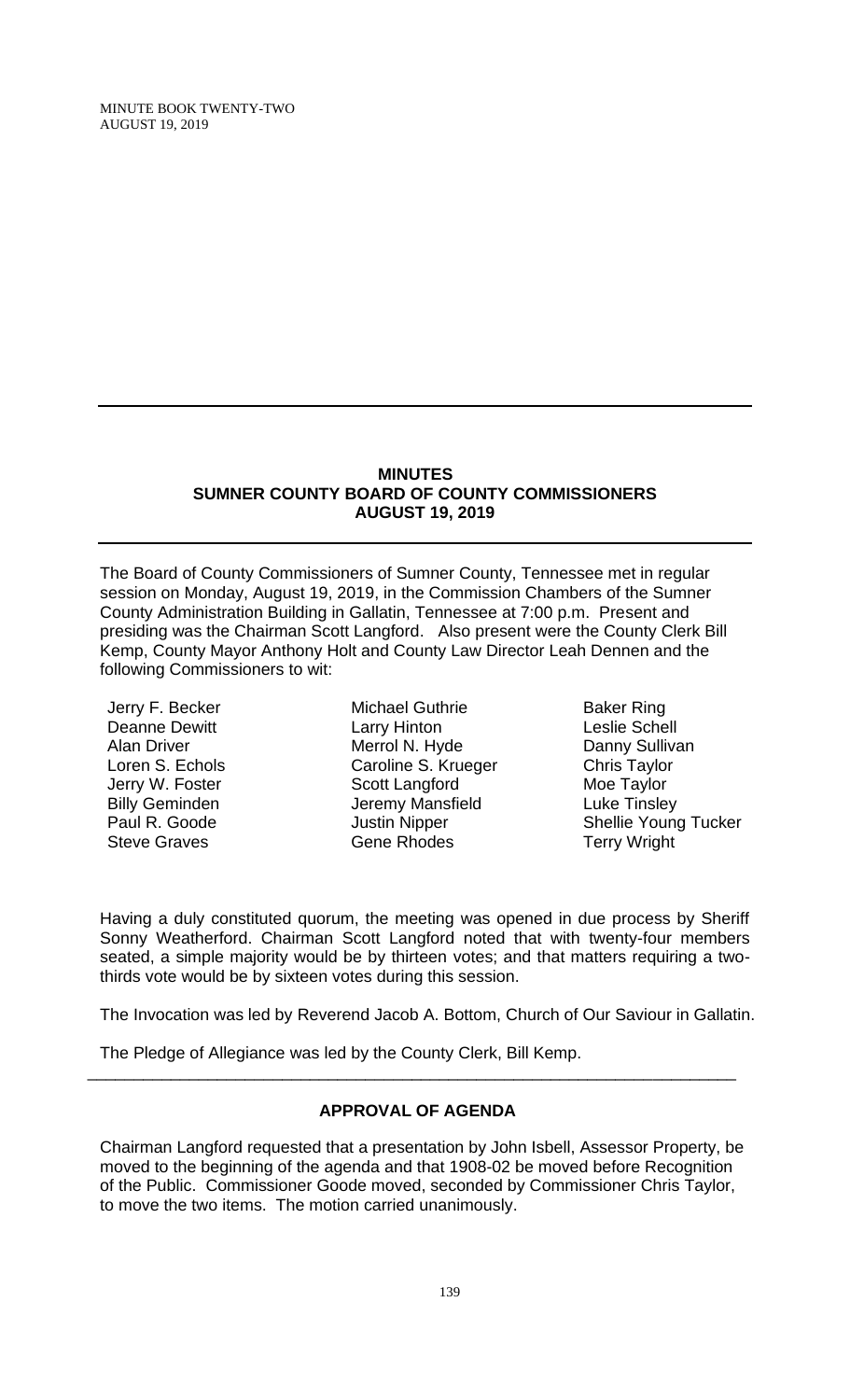#### **MINUTES SUMNER COUNTY BOARD OF COUNTY COMMISSIONERS AUGUST 19, 2019**

The Board of County Commissioners of Sumner County, Tennessee met in regular session on Monday, August 19, 2019, in the Commission Chambers of the Sumner County Administration Building in Gallatin, Tennessee at 7:00 p.m. Present and presiding was the Chairman Scott Langford. Also present were the County Clerk Bill Kemp, County Mayor Anthony Holt and County Law Director Leah Dennen and the following Commissioners to wit:

Jerry F. Becker Deanne Dewitt Alan Driver Loren S. Echols Jerry W. Foster Billy Geminden Paul R. Goode Steve Graves

Michael Guthrie Larry Hinton Merrol N. Hyde Caroline S. Krueger Scott Langford Jeremy Mansfield Justin Nipper Gene Rhodes

Baker Ring Leslie Schell Danny Sullivan Chris Taylor Moe Taylor Luke Tinsley Shellie Young Tucker Terry Wright

Having a duly constituted quorum, the meeting was opened in due process by Sheriff Sonny Weatherford. Chairman Scott Langford noted that with twenty-four members seated, a simple majority would be by thirteen votes; and that matters requiring a twothirds vote would be by sixteen votes during this session.

The Invocation was led by Reverend Jacob A. Bottom, Church of Our Saviour in Gallatin.

The Pledge of Allegiance was led by the County Clerk, Bill Kemp.

# **APPROVAL OF AGENDA**

\_\_\_\_\_\_\_\_\_\_\_\_\_\_\_\_\_\_\_\_\_\_\_\_\_\_\_\_\_\_\_\_\_\_\_\_\_\_\_\_\_\_\_\_\_\_\_\_\_\_\_\_\_\_\_\_\_\_\_\_\_\_\_\_\_\_\_\_\_\_

Chairman Langford requested that a presentation by John Isbell, Assessor Property, be moved to the beginning of the agenda and that 1908-02 be moved before Recognition of the Public. Commissioner Goode moved, seconded by Commissioner Chris Taylor, to move the two items. The motion carried unanimously.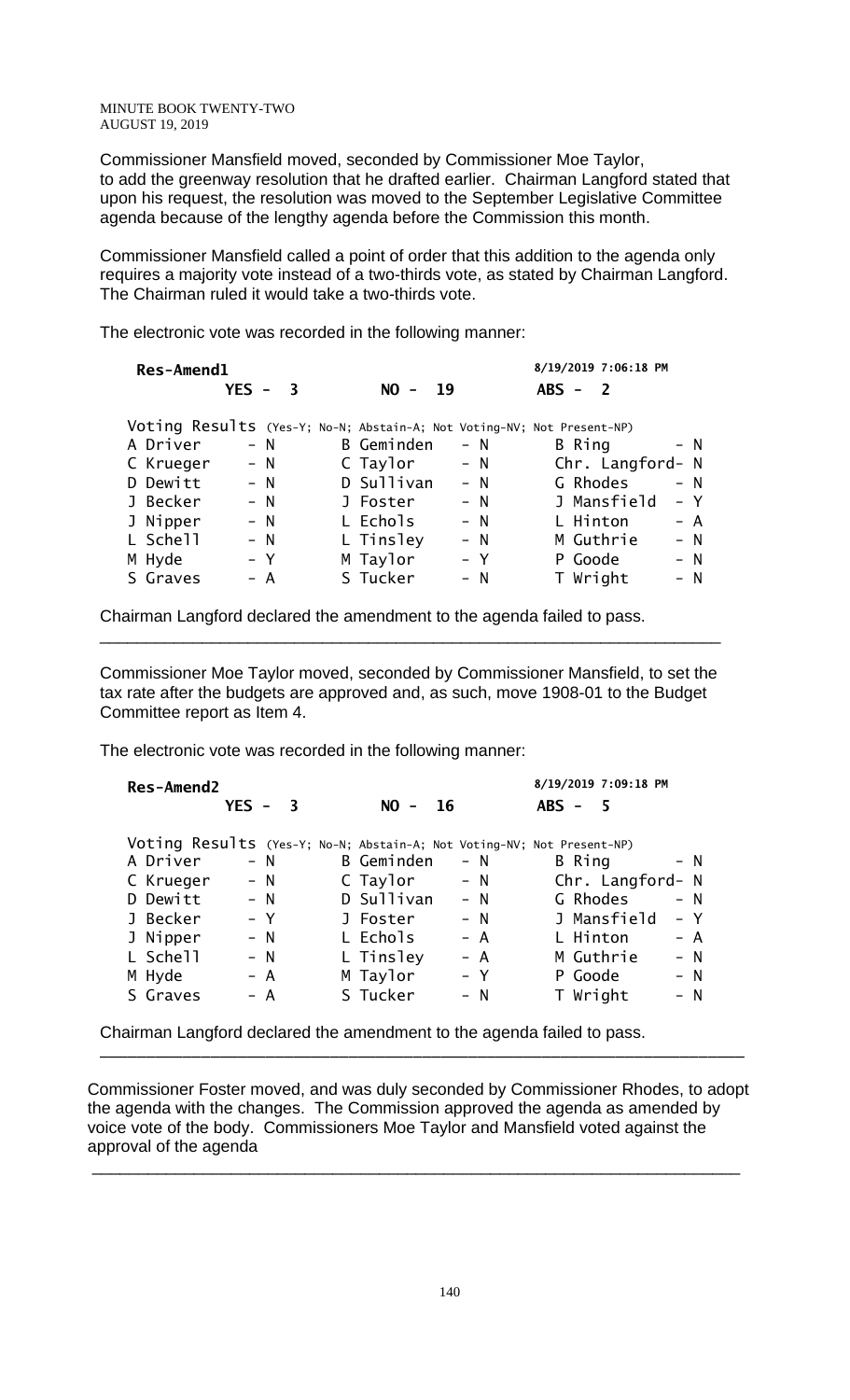Commissioner Mansfield moved, seconded by Commissioner Moe Taylor, to add the greenway resolution that he drafted earlier. Chairman Langford stated that upon his request, the resolution was moved to the September Legislative Committee agenda because of the lengthy agenda before the Commission this month.

Commissioner Mansfield called a point of order that this addition to the agenda only requires a majority vote instead of a two-thirds vote, as stated by Chairman Langford. The Chairman ruled it would take a two-thirds vote.

The electronic vote was recorded in the following manner:

| Res-Amend1                                                             |         |                         |            |      |       |           | 8/19/2019 7:06:18 PM |       |
|------------------------------------------------------------------------|---------|-------------------------|------------|------|-------|-----------|----------------------|-------|
|                                                                        | $YES -$ | $\overline{\mathbf{3}}$ | $NO -$     | - 19 |       | $ABS - 2$ |                      |       |
| Voting Results (Yes-Y; No-N; Abstain-A; Not Voting-NV; Not Present-NP) |         |                         |            |      |       |           |                      |       |
| A Driver                                                               |         | $- N$                   | B Geminden |      | $- N$ | B Ring    |                      | $- N$ |
| C Krueger                                                              |         | $- N$                   | C Taylor   |      | $- N$ |           | Chr. Langford- N     |       |
| D Dewitt                                                               |         | $- N$                   | D Sullivan |      | $- N$ |           | G Rhodes             | $- N$ |
| J Becker                                                               |         | $- N$                   | J Foster   |      | $- N$ |           | J Mansfield          | $- Y$ |
| J Nipper                                                               |         | $- N$                   | L Echols   |      | $- N$ |           | L Hinton             | $- A$ |
| L Schell                                                               |         | $- N$                   | L Tinsley  |      | $- N$ |           | M Guthrie            | $- N$ |
| M Hyde                                                                 |         | $- Y$                   | M Taylor   |      | – Y   |           | P Goode              | – N   |
| S Graves                                                               |         | – A                     | S Tucker   |      | – N   |           | T Wright             | $- N$ |

Chairman Langford declared the amendment to the agenda failed to pass.

Commissioner Moe Taylor moved, seconded by Commissioner Mansfield, to set the tax rate after the budgets are approved and, as such, move 1908-01 to the Budget Committee report as Item 4.

\_\_\_\_\_\_\_\_\_\_\_\_\_\_\_\_\_\_\_\_\_\_\_\_\_\_\_\_\_\_\_\_\_\_\_\_\_\_\_\_\_\_\_\_\_\_\_\_\_\_\_\_\_\_\_\_\_\_\_\_\_\_\_\_\_\_\_

The electronic vote was recorded in the following manner:

| <b>Res-Amend2</b> |           |       |            |       | 8/19/2019 7:09:18 PM                                                   |       |
|-------------------|-----------|-------|------------|-------|------------------------------------------------------------------------|-------|
|                   | $YES - 3$ |       | $NO -$     | -16   | $ABS - 5$                                                              |       |
|                   |           |       |            |       | Voting Results (Yes-Y; No-N; Abstain-A; Not Voting-NV; Not Present-NP) |       |
| A Driver          |           | – N   | B Geminden | $- N$ | B Ring                                                                 | $- N$ |
| C Krueger         |           | $- N$ | C Taylor   | $- N$ | Chr. Langford- N                                                       |       |
| D Dewitt          |           | $- N$ | D Sullivan | $- N$ | G Rhodes                                                               | $- N$ |
| J Becker          |           | $- Y$ | J Foster   | $- N$ | J Mansfield                                                            | $- Y$ |
| J Nipper          |           | $- N$ | L Echols   | $- A$ | L Hinton                                                               | $- A$ |
| L Schell          |           | $- N$ | L Tinsley  | $- A$ | M Guthrie                                                              | $- N$ |
| M Hyde            |           | $- A$ | M Taylor   | $- Y$ | P Goode                                                                | $- N$ |
| S Graves          |           | – A   | S Tucker   | $- N$ | T Wright                                                               | $- N$ |

Chairman Langford declared the amendment to the agenda failed to pass.

Commissioner Foster moved, and was duly seconded by Commissioner Rhodes, to adopt the agenda with the changes. The Commission approved the agenda as amended by voice vote of the body. Commissioners Moe Taylor and Mansfield voted against the approval of the agenda

\_\_\_\_\_\_\_\_\_\_\_\_\_\_\_\_\_\_\_\_\_\_\_\_\_\_\_\_\_\_\_\_\_\_\_\_\_\_\_\_\_\_\_\_\_\_\_\_\_\_\_\_\_\_\_\_\_\_\_\_\_\_\_\_\_\_\_\_\_\_

\_\_\_\_\_\_\_\_\_\_\_\_\_\_\_\_\_\_\_\_\_\_\_\_\_\_\_\_\_\_\_\_\_\_\_\_\_\_\_\_\_\_\_\_\_\_\_\_\_\_\_\_\_\_\_\_\_\_\_\_\_\_\_\_\_\_\_\_\_\_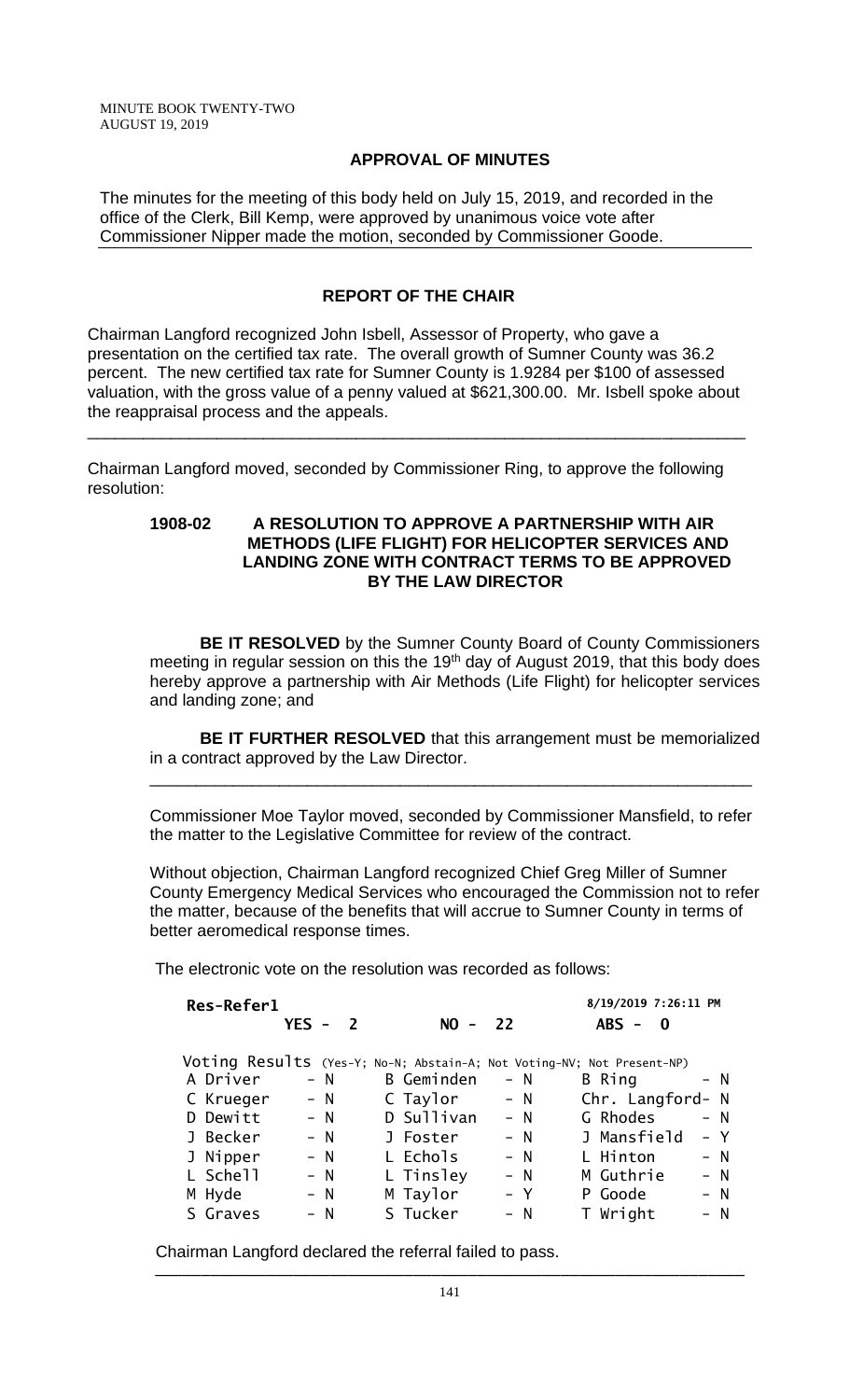# **APPROVAL OF MINUTES**

The minutes for the meeting of this body held on July 15, 2019, and recorded in the office of the Clerk, Bill Kemp, were approved by unanimous voice vote after Commissioner Nipper made the motion, seconded by Commissioner Goode.

# **REPORT OF THE CHAIR**

Chairman Langford recognized John Isbell, Assessor of Property, who gave a presentation on the certified tax rate. The overall growth of Sumner County was 36.2 percent. The new certified tax rate for Sumner County is 1.9284 per \$100 of assessed valuation, with the gross value of a penny valued at \$621,300.00. Mr. Isbell spoke about the reappraisal process and the appeals.

\_\_\_\_\_\_\_\_\_\_\_\_\_\_\_\_\_\_\_\_\_\_\_\_\_\_\_\_\_\_\_\_\_\_\_\_\_\_\_\_\_\_\_\_\_\_\_\_\_\_\_\_\_\_\_\_\_\_\_\_\_\_\_\_\_\_\_\_\_\_\_

Chairman Langford moved, seconded by Commissioner Ring, to approve the following resolution:

### **1908-02 A RESOLUTION TO APPROVE A PARTNERSHIP WITH AIR METHODS (LIFE FLIGHT) FOR HELICOPTER SERVICES AND LANDING ZONE WITH CONTRACT TERMS TO BE APPROVED BY THE LAW DIRECTOR**

**BE IT RESOLVED** by the Sumner County Board of County Commissioners meeting in regular session on this the 19<sup>th</sup> day of August 2019, that this body does hereby approve a partnership with Air Methods (Life Flight) for helicopter services and landing zone; and

**BE IT FURTHER RESOLVED** that this arrangement must be memorialized in a contract approved by the Law Director.

Commissioner Moe Taylor moved, seconded by Commissioner Mansfield, to refer the matter to the Legislative Committee for review of the contract.

\_\_\_\_\_\_\_\_\_\_\_\_\_\_\_\_\_\_\_\_\_\_\_\_\_\_\_\_\_\_\_\_\_\_\_\_\_\_\_\_\_\_\_\_\_\_\_\_\_\_\_\_\_\_\_\_\_\_\_\_\_\_\_\_\_

Without objection, Chairman Langford recognized Chief Greg Miller of Sumner County Emergency Medical Services who encouraged the Commission not to refer the matter, because of the benefits that will accrue to Sumner County in terms of better aeromedical response times.

The electronic vote on the resolution was recorded as follows:

| <b>Res-Refer1</b> |                           |            |       | 8/19/2019 7:26:11 PM                                                   |
|-------------------|---------------------------|------------|-------|------------------------------------------------------------------------|
|                   | $YES -$<br>$\overline{2}$ | $NO - 22$  |       | $ABS -$<br>$\mathbf{0}$                                                |
|                   |                           |            |       | Voting Results (Yes-Y; No-N; Abstain-A; Not Voting-NV; Not Present-NP) |
| A Driver          | $- N$                     | B Geminden | $- N$ | B Ring<br>– N                                                          |
| C Krueger         | $- N$                     | C Taylor   | $- N$ | Chr. Langford- N                                                       |
| D Dewitt          | $- N$                     | D Sullivan | $- N$ | G Rhodes<br>– N                                                        |
| J Becker          | $- N$                     | J Foster   | $- N$ | J Mansfield<br>– Y                                                     |
| J Nipper          | $- N$                     | L Echols   | $- N$ | L Hinton<br>$- N$                                                      |
| L Schell          | $- N$                     | L Tinsley  | $- N$ | M Guthrie<br>$- N$                                                     |
| M Hyde            | $- N$                     | M Taylor   | – Y   | P Goode<br>$- N$                                                       |
| S Graves          | $- N$                     | S Tucker   | $- N$ | T Wright<br>$- N$                                                      |

Chairman Langford declared the referral failed to pass.

\_\_\_\_\_\_\_\_\_\_\_\_\_\_\_\_\_\_\_\_\_\_\_\_\_\_\_\_\_\_\_\_\_\_\_\_\_\_\_\_\_\_\_\_\_\_\_\_\_\_\_\_\_\_\_\_\_\_\_\_\_\_\_\_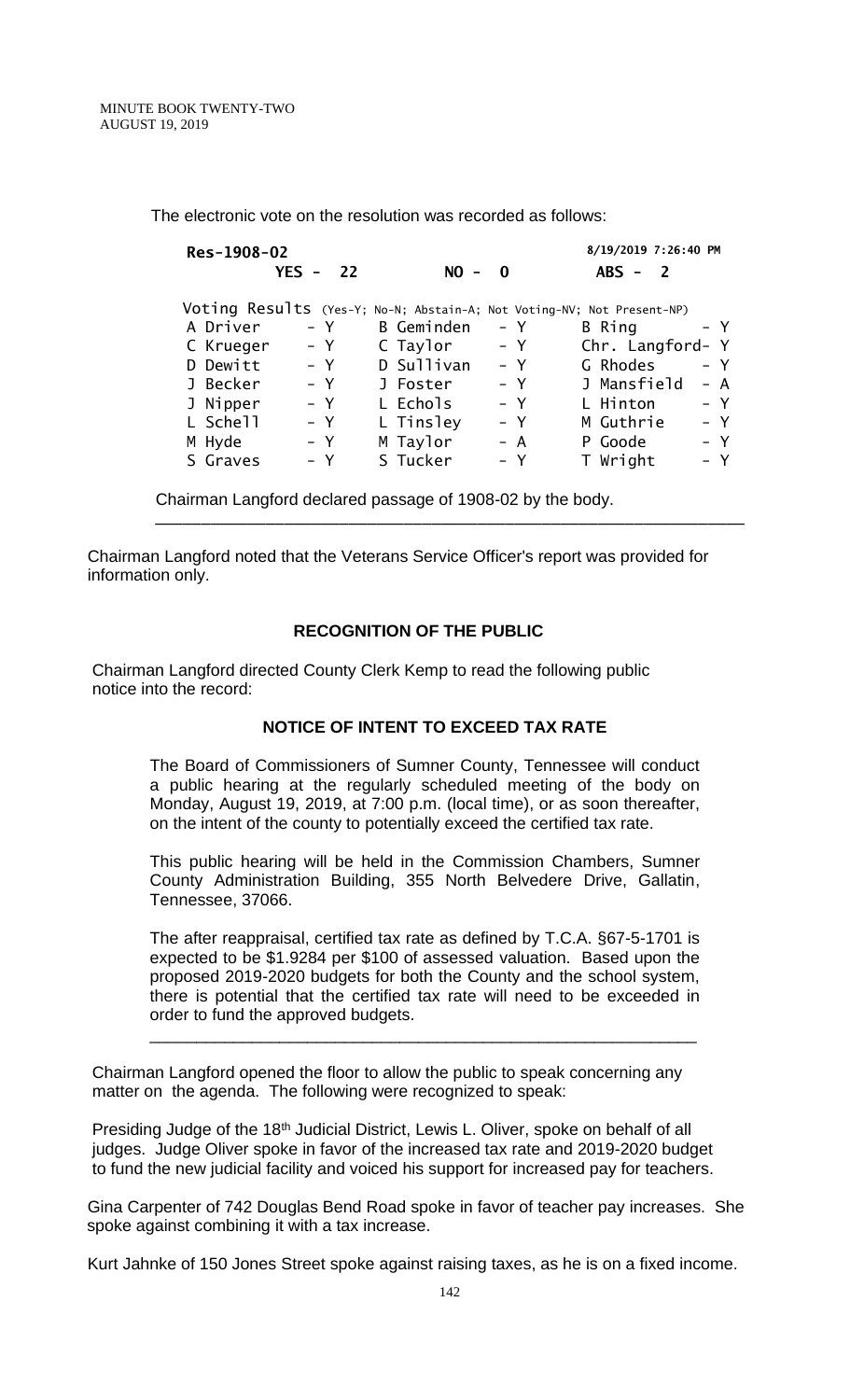The electronic vote on the resolution was recorded as follows:

| Res-1908-02 |            |            |       | 8/19/2019 7:26:40 PM                                                   |
|-------------|------------|------------|-------|------------------------------------------------------------------------|
|             | $YES - 22$ | $NO -$     | - 0   | $ABS - 2$                                                              |
|             |            |            |       | Voting Results (Yes-Y; No-N; Abstain-A; Not Voting-NV; Not Present-NP) |
| A Driver    | – Y        | B Geminden | – Y   | B Ring<br>– Y                                                          |
| C Krueger   | $- Y$      | C Taylor   | – Y   | Chr. Langford- Y                                                       |
| D Dewitt    | – Y        | D Sullivan | – Y   | G Rhodes<br>$- Y$                                                      |
| J Becker    | $- Y$      | J Foster   | $- Y$ | J Mansfield<br>$- A$                                                   |
| J Nipper    | $- Y$      | L Echols   | – Y   | L Hinton<br>$- Y$                                                      |
| L Schell    | $- Y$      | L Tinsley  | – Y   | M Guthrie<br>$- Y$                                                     |
| M Hyde      | $- Y$      | M Taylor   | $- A$ | - Y<br>P Goode                                                         |
| S Graves    | $- Y$      | S Tucker   | $- Y$ | T Wright<br>$- Y$                                                      |

Chairman Langford declared passage of 1908-02 by the body.

Chairman Langford noted that the Veterans Service Officer's report was provided for information only.

# **RECOGNITION OF THE PUBLIC**

\_\_\_\_\_\_\_\_\_\_\_\_\_\_\_\_\_\_\_\_\_\_\_\_\_\_\_\_\_\_\_\_\_\_\_\_\_\_\_\_\_\_\_\_\_\_\_\_\_\_\_\_\_\_\_\_\_\_\_\_\_\_\_\_

Chairman Langford directed County Clerk Kemp to read the following public notice into the record:

# **NOTICE OF INTENT TO EXCEED TAX RATE**

The Board of Commissioners of Sumner County, Tennessee will conduct a public hearing at the regularly scheduled meeting of the body on Monday, August 19, 2019, at 7:00 p.m. (local time), or as soon thereafter, on the intent of the county to potentially exceed the certified tax rate.

This public hearing will be held in the Commission Chambers, Sumner County Administration Building, 355 North Belvedere Drive, Gallatin, Tennessee, 37066.

The after reappraisal, certified tax rate as defined by T.C.A. §67-5-1701 is expected to be \$1.9284 per \$100 of assessed valuation. Based upon the proposed 2019-2020 budgets for both the County and the school system, there is potential that the certified tax rate will need to be exceeded in order to fund the approved budgets.

\_\_\_\_\_\_\_\_\_\_\_\_\_\_\_\_\_\_\_\_\_\_\_\_\_\_\_\_\_\_\_\_\_\_\_\_\_\_\_\_\_\_\_\_\_\_\_\_\_\_\_\_\_\_\_\_\_\_\_

Chairman Langford opened the floor to allow the public to speak concerning any matter on the agenda. The following were recognized to speak:

Presiding Judge of the 18<sup>th</sup> Judicial District, Lewis L. Oliver, spoke on behalf of all judges. Judge Oliver spoke in favor of the increased tax rate and 2019-2020 budget to fund the new judicial facility and voiced his support for increased pay for teachers.

Gina Carpenter of 742 Douglas Bend Road spoke in favor of teacher pay increases. She spoke against combining it with a tax increase.

Kurt Jahnke of 150 Jones Street spoke against raising taxes, as he is on a fixed income.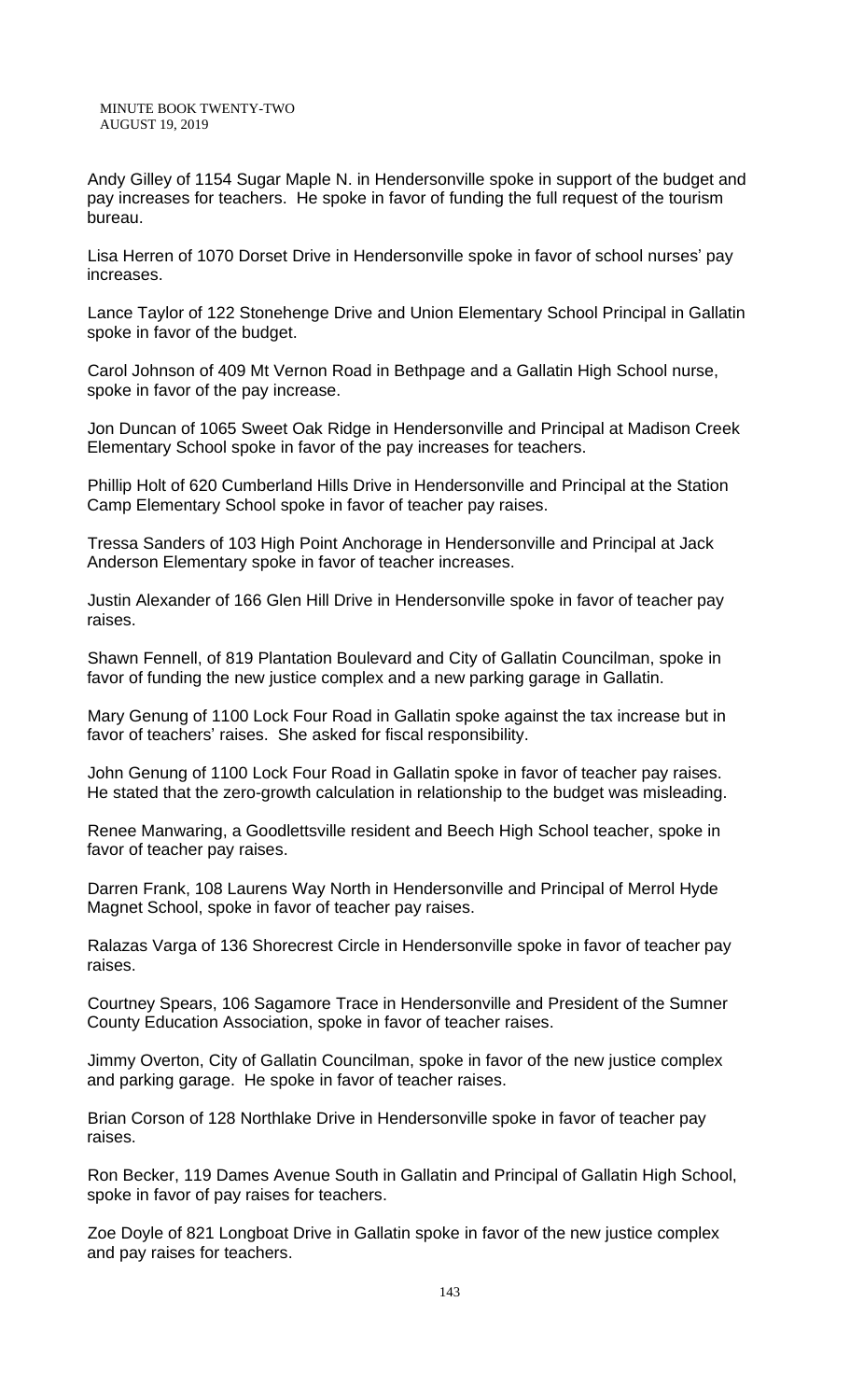Andy Gilley of 1154 Sugar Maple N. in Hendersonville spoke in support of the budget and pay increases for teachers. He spoke in favor of funding the full request of the tourism bureau.

Lisa Herren of 1070 Dorset Drive in Hendersonville spoke in favor of school nurses' pay increases.

Lance Taylor of 122 Stonehenge Drive and Union Elementary School Principal in Gallatin spoke in favor of the budget.

Carol Johnson of 409 Mt Vernon Road in Bethpage and a Gallatin High School nurse, spoke in favor of the pay increase.

Jon Duncan of 1065 Sweet Oak Ridge in Hendersonville and Principal at Madison Creek Elementary School spoke in favor of the pay increases for teachers.

Phillip Holt of 620 Cumberland Hills Drive in Hendersonville and Principal at the Station Camp Elementary School spoke in favor of teacher pay raises.

Tressa Sanders of 103 High Point Anchorage in Hendersonville and Principal at Jack Anderson Elementary spoke in favor of teacher increases.

Justin Alexander of 166 Glen Hill Drive in Hendersonville spoke in favor of teacher pay raises.

Shawn Fennell, of 819 Plantation Boulevard and City of Gallatin Councilman, spoke in favor of funding the new justice complex and a new parking garage in Gallatin.

Mary Genung of 1100 Lock Four Road in Gallatin spoke against the tax increase but in favor of teachers' raises. She asked for fiscal responsibility.

John Genung of 1100 Lock Four Road in Gallatin spoke in favor of teacher pay raises. He stated that the zero-growth calculation in relationship to the budget was misleading.

Renee Manwaring, a Goodlettsville resident and Beech High School teacher, spoke in favor of teacher pay raises.

Darren Frank, 108 Laurens Way North in Hendersonville and Principal of Merrol Hyde Magnet School, spoke in favor of teacher pay raises.

Ralazas Varga of 136 Shorecrest Circle in Hendersonville spoke in favor of teacher pay raises.

Courtney Spears, 106 Sagamore Trace in Hendersonville and President of the Sumner County Education Association, spoke in favor of teacher raises.

Jimmy Overton, City of Gallatin Councilman, spoke in favor of the new justice complex and parking garage. He spoke in favor of teacher raises.

Brian Corson of 128 Northlake Drive in Hendersonville spoke in favor of teacher pay raises.

Ron Becker, 119 Dames Avenue South in Gallatin and Principal of Gallatin High School, spoke in favor of pay raises for teachers.

Zoe Doyle of 821 Longboat Drive in Gallatin spoke in favor of the new justice complex and pay raises for teachers.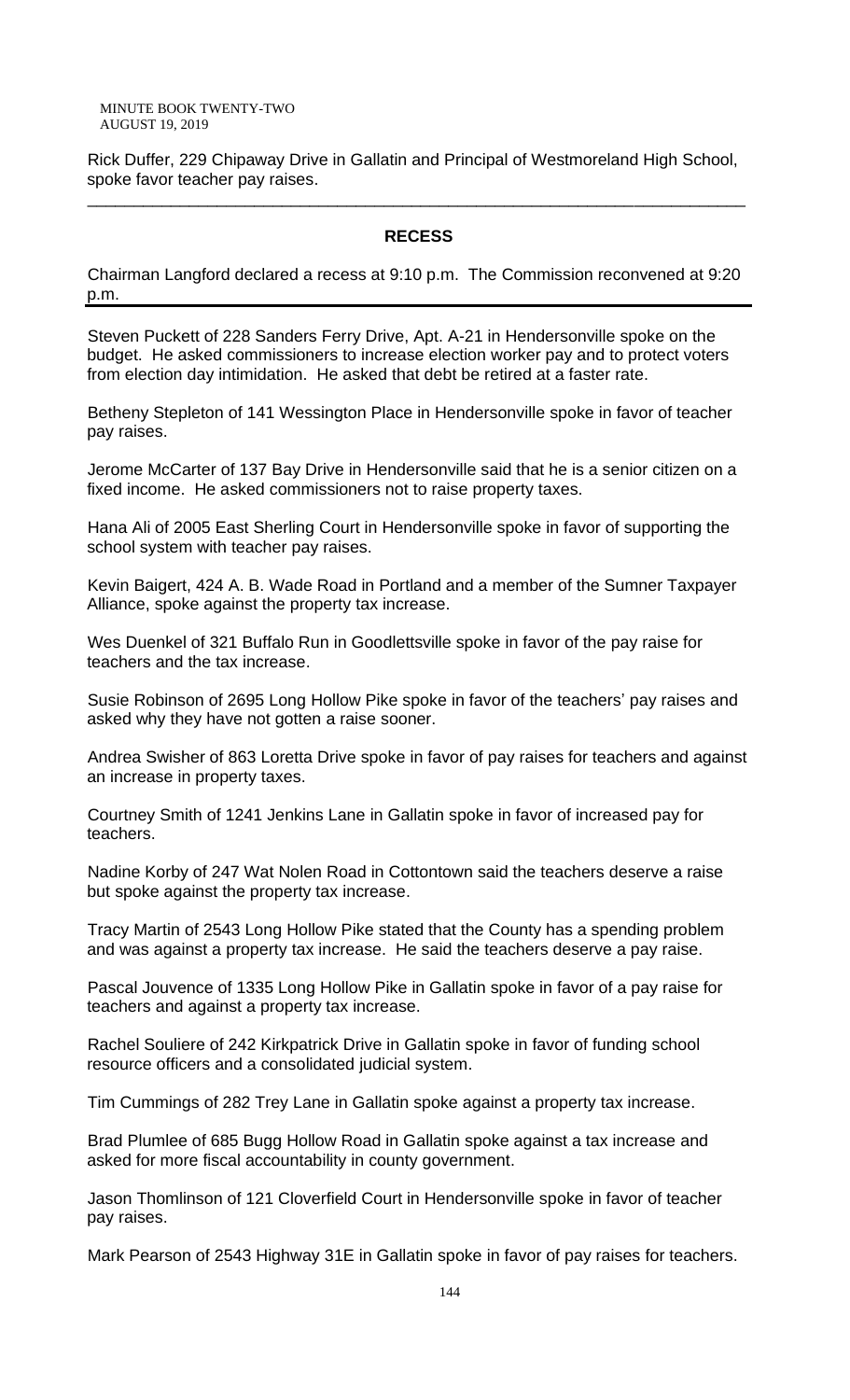Rick Duffer, 229 Chipaway Drive in Gallatin and Principal of Westmoreland High School, spoke favor teacher pay raises.

\_\_\_\_\_\_\_\_\_\_\_\_\_\_\_\_\_\_\_\_\_\_\_\_\_\_\_\_\_\_\_\_\_\_\_\_\_\_\_\_\_\_\_\_\_\_\_\_\_\_\_\_\_\_\_\_\_\_\_\_\_\_\_\_\_\_\_\_\_\_\_

#### **RECESS**

Chairman Langford declared a recess at 9:10 p.m. The Commission reconvened at 9:20 p.m.

Steven Puckett of 228 Sanders Ferry Drive, Apt. A-21 in Hendersonville spoke on the budget. He asked commissioners to increase election worker pay and to protect voters from election day intimidation. He asked that debt be retired at a faster rate.

Betheny Stepleton of 141 Wessington Place in Hendersonville spoke in favor of teacher pay raises.

Jerome McCarter of 137 Bay Drive in Hendersonville said that he is a senior citizen on a fixed income. He asked commissioners not to raise property taxes.

Hana Ali of 2005 East Sherling Court in Hendersonville spoke in favor of supporting the school system with teacher pay raises.

Kevin Baigert, 424 A. B. Wade Road in Portland and a member of the Sumner Taxpayer Alliance, spoke against the property tax increase.

Wes Duenkel of 321 Buffalo Run in Goodlettsville spoke in favor of the pay raise for teachers and the tax increase.

Susie Robinson of 2695 Long Hollow Pike spoke in favor of the teachers' pay raises and asked why they have not gotten a raise sooner.

Andrea Swisher of 863 Loretta Drive spoke in favor of pay raises for teachers and against an increase in property taxes.

Courtney Smith of 1241 Jenkins Lane in Gallatin spoke in favor of increased pay for teachers.

Nadine Korby of 247 Wat Nolen Road in Cottontown said the teachers deserve a raise but spoke against the property tax increase.

Tracy Martin of 2543 Long Hollow Pike stated that the County has a spending problem and was against a property tax increase. He said the teachers deserve a pay raise.

Pascal Jouvence of 1335 Long Hollow Pike in Gallatin spoke in favor of a pay raise for teachers and against a property tax increase.

Rachel Souliere of 242 Kirkpatrick Drive in Gallatin spoke in favor of funding school resource officers and a consolidated judicial system.

Tim Cummings of 282 Trey Lane in Gallatin spoke against a property tax increase.

Brad Plumlee of 685 Bugg Hollow Road in Gallatin spoke against a tax increase and asked for more fiscal accountability in county government.

Jason Thomlinson of 121 Cloverfield Court in Hendersonville spoke in favor of teacher pay raises.

Mark Pearson of 2543 Highway 31E in Gallatin spoke in favor of pay raises for teachers.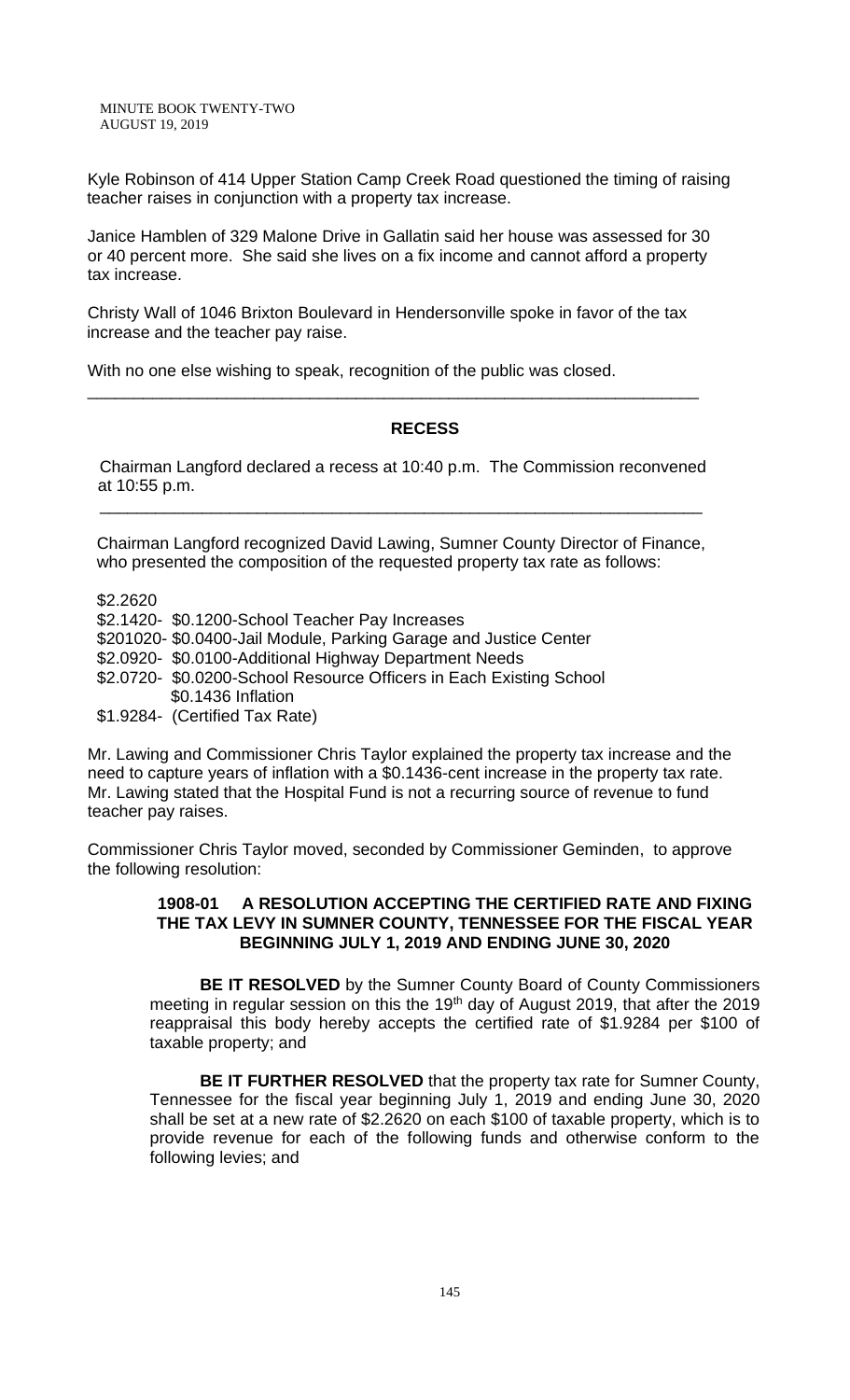Kyle Robinson of 414 Upper Station Camp Creek Road questioned the timing of raising teacher raises in conjunction with a property tax increase.

Janice Hamblen of 329 Malone Drive in Gallatin said her house was assessed for 30 or 40 percent more. She said she lives on a fix income and cannot afford a property tax increase.

Christy Wall of 1046 Brixton Boulevard in Hendersonville spoke in favor of the tax increase and the teacher pay raise.

\_\_\_\_\_\_\_\_\_\_\_\_\_\_\_\_\_\_\_\_\_\_\_\_\_\_\_\_\_\_\_\_\_\_\_\_\_\_\_\_\_\_\_\_\_\_\_\_\_\_\_\_\_\_\_\_\_\_\_\_\_\_\_\_\_\_

With no one else wishing to speak, recognition of the public was closed.

# **RECESS**

 Chairman Langford declared a recess at 10:40 p.m. The Commission reconvened at 10:55 p.m.

\_\_\_\_\_\_\_\_\_\_\_\_\_\_\_\_\_\_\_\_\_\_\_\_\_\_\_\_\_\_\_\_\_\_\_\_\_\_\_\_\_\_\_\_\_\_\_\_\_\_\_\_\_\_\_\_\_\_\_\_\_\_\_\_\_

Chairman Langford recognized David Lawing, Sumner County Director of Finance, who presented the composition of the requested property tax rate as follows:

\$2.2620

\$2.1420- \$0.1200-School Teacher Pay Increases

\$201020- \$0.0400-Jail Module, Parking Garage and Justice Center

\$2.0920- \$0.0100-Additional Highway Department Needs

 \$2.0720- \$0.0200-School Resource Officers in Each Existing School \$0.1436 Inflation

\$1.9284- (Certified Tax Rate)

Mr. Lawing and Commissioner Chris Taylor explained the property tax increase and the need to capture years of inflation with a \$0.1436-cent increase in the property tax rate. Mr. Lawing stated that the Hospital Fund is not a recurring source of revenue to fund teacher pay raises.

Commissioner Chris Taylor moved, seconded by Commissioner Geminden, to approve the following resolution:

#### **1908-01 A RESOLUTION ACCEPTING THE CERTIFIED RATE AND FIXING THE TAX LEVY IN SUMNER COUNTY, TENNESSEE FOR THE FISCAL YEAR BEGINNING JULY 1, 2019 AND ENDING JUNE 30, 2020**

**BE IT RESOLVED** by the Sumner County Board of County Commissioners meeting in regular session on this the 19<sup>th</sup> day of August 2019, that after the 2019 reappraisal this body hereby accepts the certified rate of \$1.9284 per \$100 of taxable property; and

**BE IT FURTHER RESOLVED** that the property tax rate for Sumner County, Tennessee for the fiscal year beginning July 1, 2019 and ending June 30, 2020 shall be set at a new rate of \$2.2620 on each \$100 of taxable property, which is to provide revenue for each of the following funds and otherwise conform to the following levies; and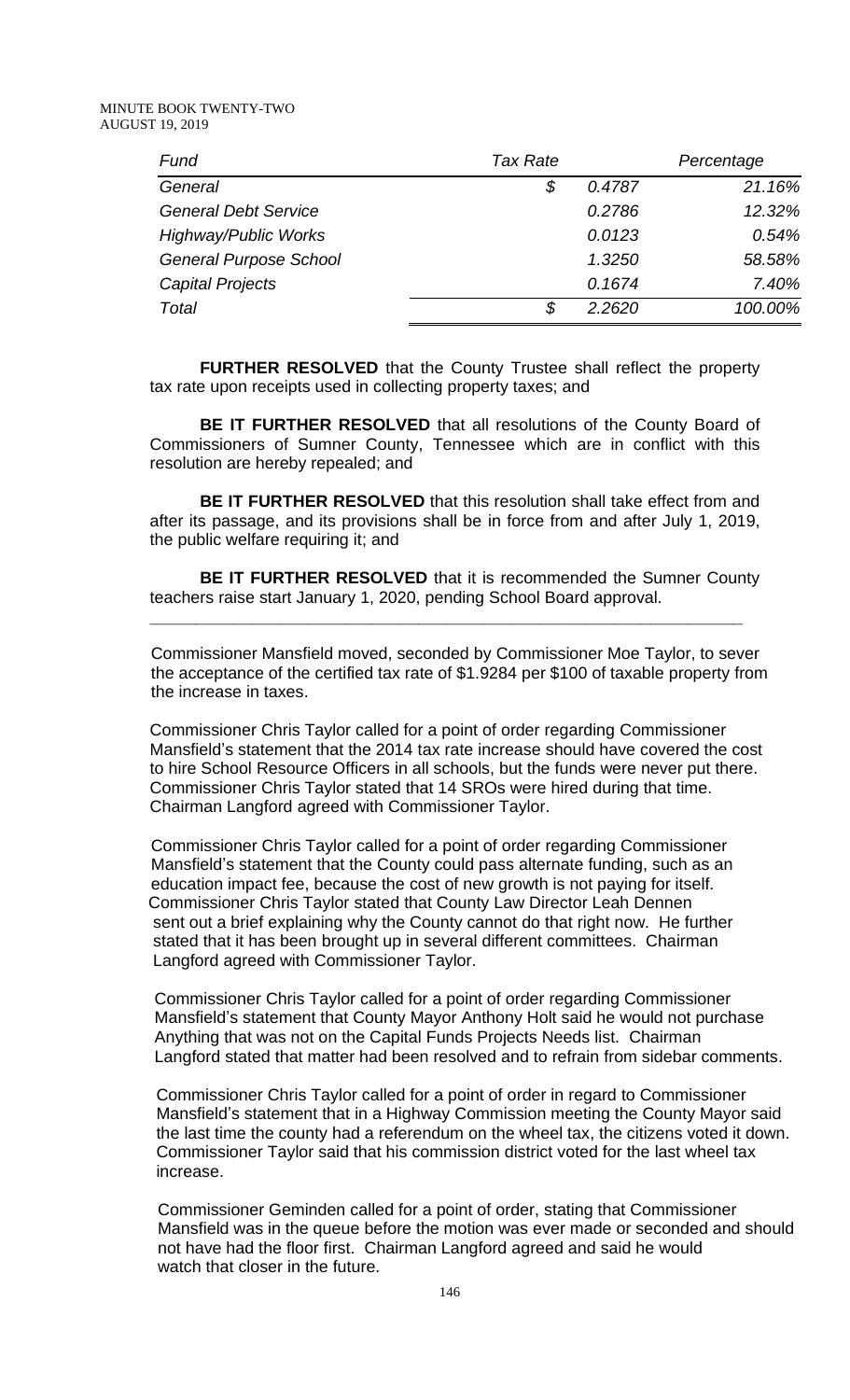| Fund                          | <b>Tax Rate</b> |        | Percentage |
|-------------------------------|-----------------|--------|------------|
| General                       | \$              | 0.4787 | 21.16%     |
| <b>General Debt Service</b>   |                 | 0.2786 | 12.32%     |
| <b>Highway/Public Works</b>   |                 | 0.0123 | 0.54%      |
| <b>General Purpose School</b> |                 | 1.3250 | 58.58%     |
| Capital Projects              |                 | 0.1674 | 7.40%      |
| Total                         | S               | 2.2620 | 100.00%    |

**FURTHER RESOLVED** that the County Trustee shall reflect the property tax rate upon receipts used in collecting property taxes; and

**BE IT FURTHER RESOLVED** that all resolutions of the County Board of Commissioners of Sumner County, Tennessee which are in conflict with this resolution are hereby repealed; and

**BE IT FURTHER RESOLVED** that this resolution shall take effect from and after its passage, and its provisions shall be in force from and after July 1, 2019, the public welfare requiring it; and

**BE IT FURTHER RESOLVED** that it is recommended the Sumner County teachers raise start January 1, 2020, pending School Board approval.

**\_\_\_\_\_\_\_\_\_\_\_\_\_\_\_\_\_\_\_\_\_\_\_\_\_\_\_\_\_\_\_\_\_\_\_\_\_\_\_\_\_\_\_\_\_\_\_\_\_\_\_\_\_\_\_\_\_\_\_\_\_\_\_\_**

 Commissioner Mansfield moved, seconded by Commissioner Moe Taylor, to sever the acceptance of the certified tax rate of \$1.9284 per \$100 of taxable property from the increase in taxes.

Commissioner Chris Taylor called for a point of order regarding Commissioner Mansfield's statement that the 2014 tax rate increase should have covered the cost to hire School Resource Officers in all schools, but the funds were never put there. Commissioner Chris Taylor stated that 14 SROs were hired during that time. Chairman Langford agreed with Commissioner Taylor.

 Commissioner Chris Taylor called for a point of order regarding Commissioner Mansfield's statement that the County could pass alternate funding, such as an education impact fee, because the cost of new growth is not paying for itself. Commissioner Chris Taylor stated that County Law Director Leah Dennen sent out a brief explaining why the County cannot do that right now. He further stated that it has been brought up in several different committees. Chairman Langford agreed with Commissioner Taylor.

Commissioner Chris Taylor called for a point of order regarding Commissioner Mansfield's statement that County Mayor Anthony Holt said he would not purchase Anything that was not on the Capital Funds Projects Needs list. Chairman Langford stated that matter had been resolved and to refrain from sidebar comments.

Commissioner Chris Taylor called for a point of order in regard to Commissioner Mansfield's statement that in a Highway Commission meeting the County Mayor said the last time the county had a referendum on the wheel tax, the citizens voted it down. Commissioner Taylor said that his commission district voted for the last wheel tax increase.

 Commissioner Geminden called for a point of order, stating that Commissioner Mansfield was in the queue before the motion was ever made or seconded and should not have had the floor first. Chairman Langford agreed and said he would watch that closer in the future.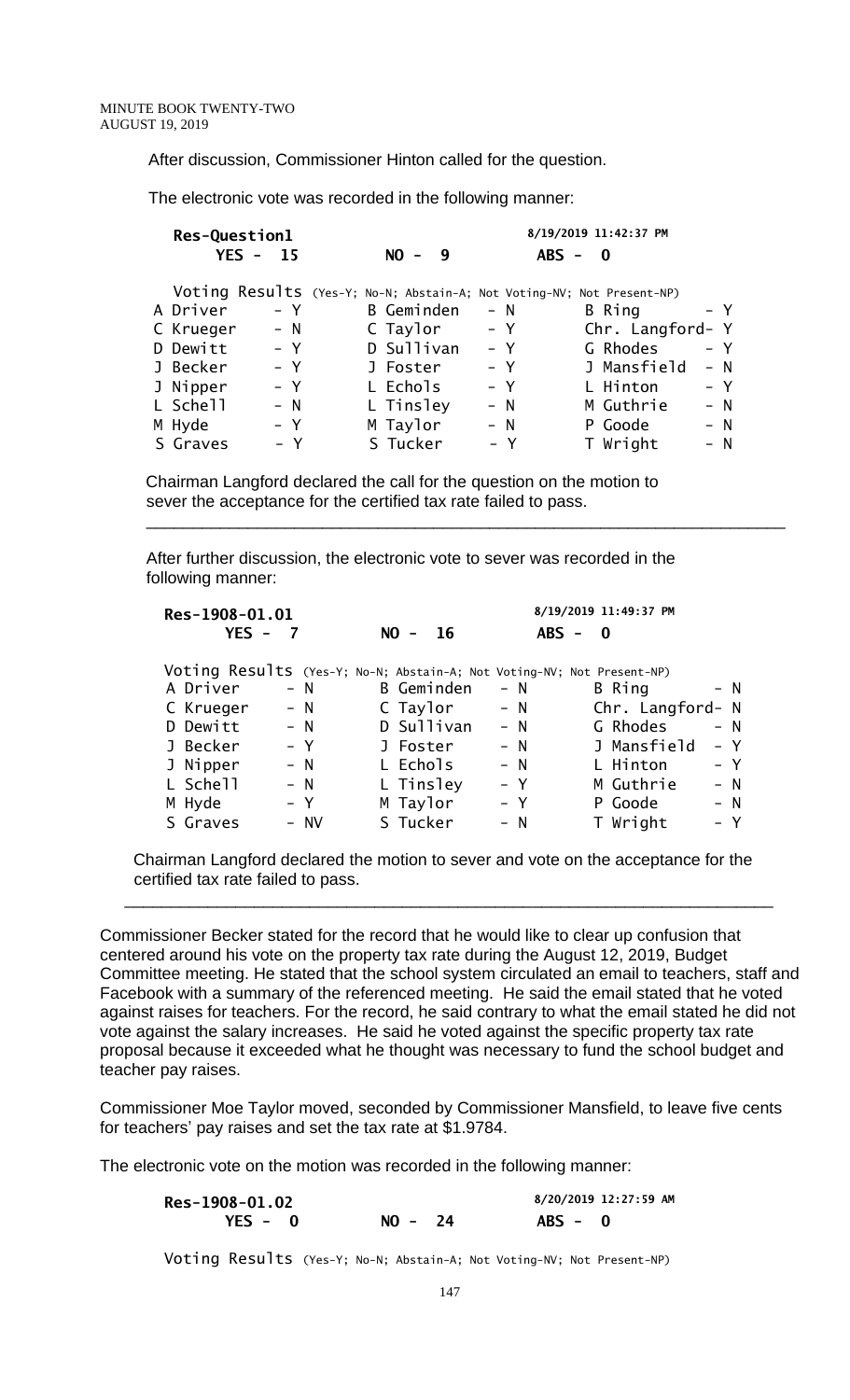After discussion, Commissioner Hinton called for the question.

The electronic vote was recorded in the following manner:

| Res-Question1                                                          |       |  | 8/19/2019 11:42:37 PM |       |           |          |                  |  |       |
|------------------------------------------------------------------------|-------|--|-----------------------|-------|-----------|----------|------------------|--|-------|
| $YES -$                                                                | - 15  |  | $NO -$                | - 9   | $ABS - 0$ |          |                  |  |       |
| Voting Results (Yes-Y; No-N; Abstain-A; Not Voting-NV; Not Present-NP) |       |  |                       |       |           |          |                  |  |       |
| A Driver                                                               | – Y   |  | <b>B</b> Geminden     | – N   |           | B Ring   |                  |  | - Y   |
| C Krueger                                                              | $- N$ |  | C Taylor              | $- Y$ |           |          | Chr. Langford- Y |  |       |
| D Dewitt                                                               | $- Y$ |  | D Sullivan            | $- Y$ |           | G Rhodes |                  |  | $- Y$ |
| J Becker                                                               | $- Y$ |  | J Foster              | $- Y$ |           |          | J Mansfield      |  | $- N$ |
| J Nipper                                                               | $- Y$ |  | L Echols              | $- Y$ |           | L Hinton |                  |  | $- Y$ |
| L Schell                                                               | $- N$ |  | L Tinsley             | $- N$ |           |          | M Guthrie        |  | $- N$ |
| M Hyde                                                                 | $- Y$ |  | M Taylor              | $- N$ |           | P Goode  |                  |  | $- N$ |
| S Graves                                                               | $- Y$ |  | S Tucker              |       | $- Y$     | T Wright |                  |  | $- N$ |

 $\overline{\phantom{a}}$  , and the contribution of the contribution of the contribution of the contribution of the contribution of the contribution of the contribution of the contribution of the contribution of the contribution of the

 Chairman Langford declared the call for the question on the motion to sever the acceptance for the certified tax rate failed to pass.

 After further discussion, the electronic vote to sever was recorded in the following manner:

| Res-1908-01.01 |       | 8/19/2019 11:49:37 PM                                                  |       |                  |       |  |
|----------------|-------|------------------------------------------------------------------------|-------|------------------|-------|--|
| $YES -$        |       | $NO -$<br>-16                                                          |       | $ABS - 0$        |       |  |
|                |       | Voting Results (Yes-Y; No-N; Abstain-A; Not Voting-NV; Not Present-NP) |       |                  |       |  |
| A Driver       | $- N$ | B Geminden                                                             | $- N$ | B Ring           | $- N$ |  |
| C Krueger      | $- N$ | C Taylor                                                               | $- N$ | Chr. Langford- N |       |  |
| D Dewitt       | $- N$ | D Sullivan                                                             | $- N$ | G Rhodes         | $- N$ |  |
| J Becker       | $- Y$ | J Foster                                                               | $- N$ | J Mansfield      | $- Y$ |  |
| J Nipper       | $- N$ | L Echols                                                               | $- N$ | L Hinton         | $- Y$ |  |
| L Schell       | $- N$ | L Tinsley                                                              | $- Y$ | M Guthrie        | - N   |  |
| M Hyde         | $- Y$ | M Taylor                                                               | $- Y$ | P Goode          | - N   |  |
| S Graves       | - NV  | S Tucker                                                               | $- N$ | T Wright         | – Y   |  |
|                |       |                                                                        |       |                  |       |  |

 Chairman Langford declared the motion to sever and vote on the acceptance for the certified tax rate failed to pass.

 $\overline{\phantom{a}}$  , and the contribution of the contribution of the contribution of the contribution of the contribution of the contribution of the contribution of the contribution of the contribution of the contribution of the

Commissioner Becker stated for the record that he would like to clear up confusion that centered around his vote on the property tax rate during the August 12, 2019, Budget Committee meeting. He stated that the school system circulated an email to teachers, staff and Facebook with a summary of the referenced meeting. He said the email stated that he voted against raises for teachers. For the record, he said contrary to what the email stated he did not vote against the salary increases. He said he voted against the specific property tax rate proposal because it exceeded what he thought was necessary to fund the school budget and teacher pay raises.

Commissioner Moe Taylor moved, seconded by Commissioner Mansfield, to leave five cents for teachers' pay raises and set the tax rate at \$1.9784.

The electronic vote on the motion was recorded in the following manner:

| Res-1908-01.02 |           | 8/20/2019 12:27:59 AM |  |
|----------------|-----------|-----------------------|--|
| $YES - 0$      | $NO - 24$ | $ABS - 0$             |  |

Voting Results (Yes-Y; No-N; Abstain-A; Not Voting-NV; Not Present-NP)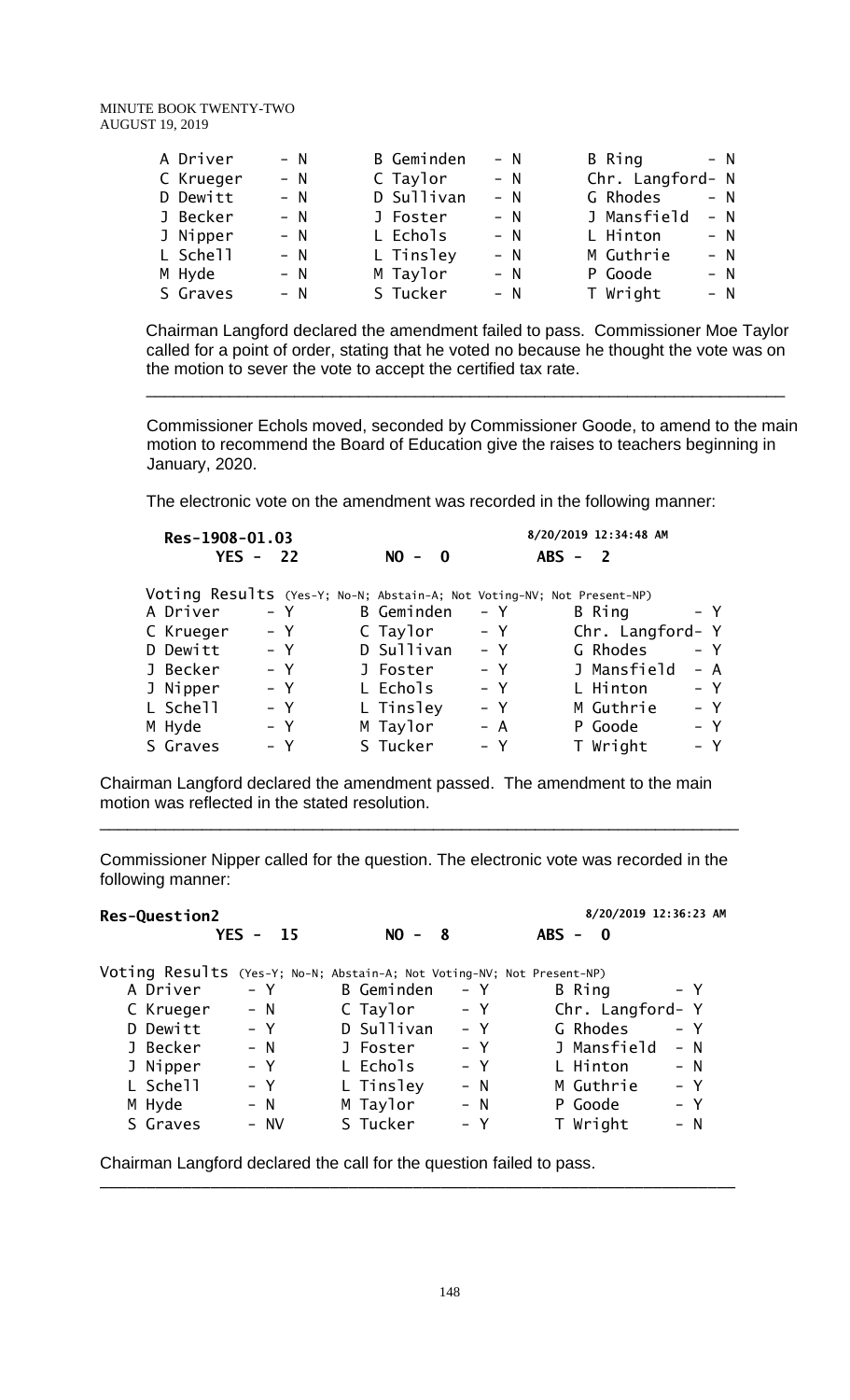| A Driver  | $- N$ | <b>B</b> Geminden | – N   | B Ring<br>$- N$      |
|-----------|-------|-------------------|-------|----------------------|
| C Krueger | $- N$ | C Taylor          | – N   | Chr. Langford- N     |
| D Dewitt  | $- N$ | D Sullivan        | $- N$ | G Rhodes<br>$- N$    |
| J Becker  | $- N$ | J Foster          | $- N$ | J Mansfield<br>$- N$ |
| J Nipper  | $- N$ | L Echols          | $- N$ | L Hinton<br>$- N$    |
| L Schell  | $- N$ | L Tinsley         | $- N$ | M Guthrie<br>$- N$   |
| M Hyde    | $- N$ | M Taylor          | $- N$ | P Goode<br>$- N$     |
| S Graves  | $- N$ | S Tucker          | $- N$ | T Wright<br>$- N$    |
|           |       |                   |       |                      |

 Chairman Langford declared the amendment failed to pass. Commissioner Moe Taylor called for a point of order, stating that he voted no because he thought the vote was on the motion to sever the vote to accept the certified tax rate.

Commissioner Echols moved, seconded by Commissioner Goode, to amend to the main motion to recommend the Board of Education give the raises to teachers beginning in January, 2020.

The electronic vote on the amendment was recorded in the following manner:

 $\overline{\phantom{a}}$  , and the contribution of the contribution of the contribution of the contribution of the contribution of the contribution of the contribution of the contribution of the contribution of the contribution of the

| Res-1908-01.03 |       |                                                                        | 8/20/2019 12:34:48 AM |                  |       |  |  |  |
|----------------|-------|------------------------------------------------------------------------|-----------------------|------------------|-------|--|--|--|
| $YES -$        | 22    | $NO - 0$                                                               |                       | $ABS - 2$        |       |  |  |  |
|                |       | Voting Results (Yes-Y; No-N; Abstain-A; Not Voting-NV; Not Present-NP) |                       |                  |       |  |  |  |
| A Driver       | – Y   | <b>B</b> Geminden                                                      | – Y                   | B Ring           | – Y   |  |  |  |
| C Krueger      | $- Y$ | C Taylor                                                               | $- Y$                 | Chr. Langford- Y |       |  |  |  |
| D Dewitt       | $- Y$ | D Sullivan                                                             | $- Y$                 | G Rhodes         | $- Y$ |  |  |  |
| J Becker       | $- Y$ | J Foster                                                               | $- Y$                 | J Mansfield      | $- A$ |  |  |  |
| J Nipper       | $- Y$ | L Echols                                                               | $- Y$                 | L Hinton         | $- Y$ |  |  |  |
| L Schell       | $- Y$ | L Tinsley                                                              | $- Y$                 | M Guthrie        | $- Y$ |  |  |  |
| M Hyde         | $- Y$ | M Taylor                                                               | – A                   | P Goode          | – Y   |  |  |  |
| S Graves       | - Y   | S Tucker                                                               | $- Y$                 | T Wright         | $- Y$ |  |  |  |

Chairman Langford declared the amendment passed. The amendment to the main motion was reflected in the stated resolution.

Commissioner Nipper called for the question. The electronic vote was recorded in the following manner:

\_\_\_\_\_\_\_\_\_\_\_\_\_\_\_\_\_\_\_\_\_\_\_\_\_\_\_\_\_\_\_\_\_\_\_\_\_\_\_\_\_\_\_\_\_\_\_\_\_\_\_\_\_\_\_\_\_\_\_\_\_\_\_\_\_\_\_\_\_

| <b>Res-Question2</b>                                                   |         |            |       | 8/20/2019 12:36:23 AM   |       |  |
|------------------------------------------------------------------------|---------|------------|-------|-------------------------|-------|--|
| $YES - 15$                                                             |         | $NO -$     | - 8   | $ABS -$<br>$\mathbf{0}$ |       |  |
| Voting Results (Yes-Y; No-N; Abstain-A; Not Voting-NV; Not Present-NP) |         |            |       |                         |       |  |
| A Driver                                                               | $- Y$   | B Geminden | – Y   | B Ring                  | – Y   |  |
| C Krueger                                                              | $- N$   | C Taylor   | $- Y$ | Chr. Langford- Y        |       |  |
| D Dewitt                                                               | $- Y$   | D Sullivan | $- Y$ | G Rhodes                | $- Y$ |  |
| J Becker                                                               | $- N$   | J Foster   | $- Y$ | J Mansfield             | $- N$ |  |
| J Nipper                                                               | $- Y$   | L Echols   | – Y   | L Hinton                | $- N$ |  |
| L Schell                                                               | $- Y$   | L Tinsley  | $- N$ | M Guthrie               | $- Y$ |  |
| M Hyde                                                                 | $- N$   | M Taylor   | $- N$ | P Goode                 | $- Y$ |  |
| S Graves                                                               | $- N V$ | S Tucker   | – Y   | T Wright                | – N   |  |

\_\_\_\_\_\_\_\_\_\_\_\_\_\_\_\_\_\_\_\_\_\_\_\_\_\_\_\_\_\_\_\_\_\_\_\_\_\_\_\_\_\_\_\_\_\_\_\_\_\_\_\_\_\_\_\_\_\_\_\_\_\_\_\_\_\_\_\_\_

Chairman Langford declared the call for the question failed to pass.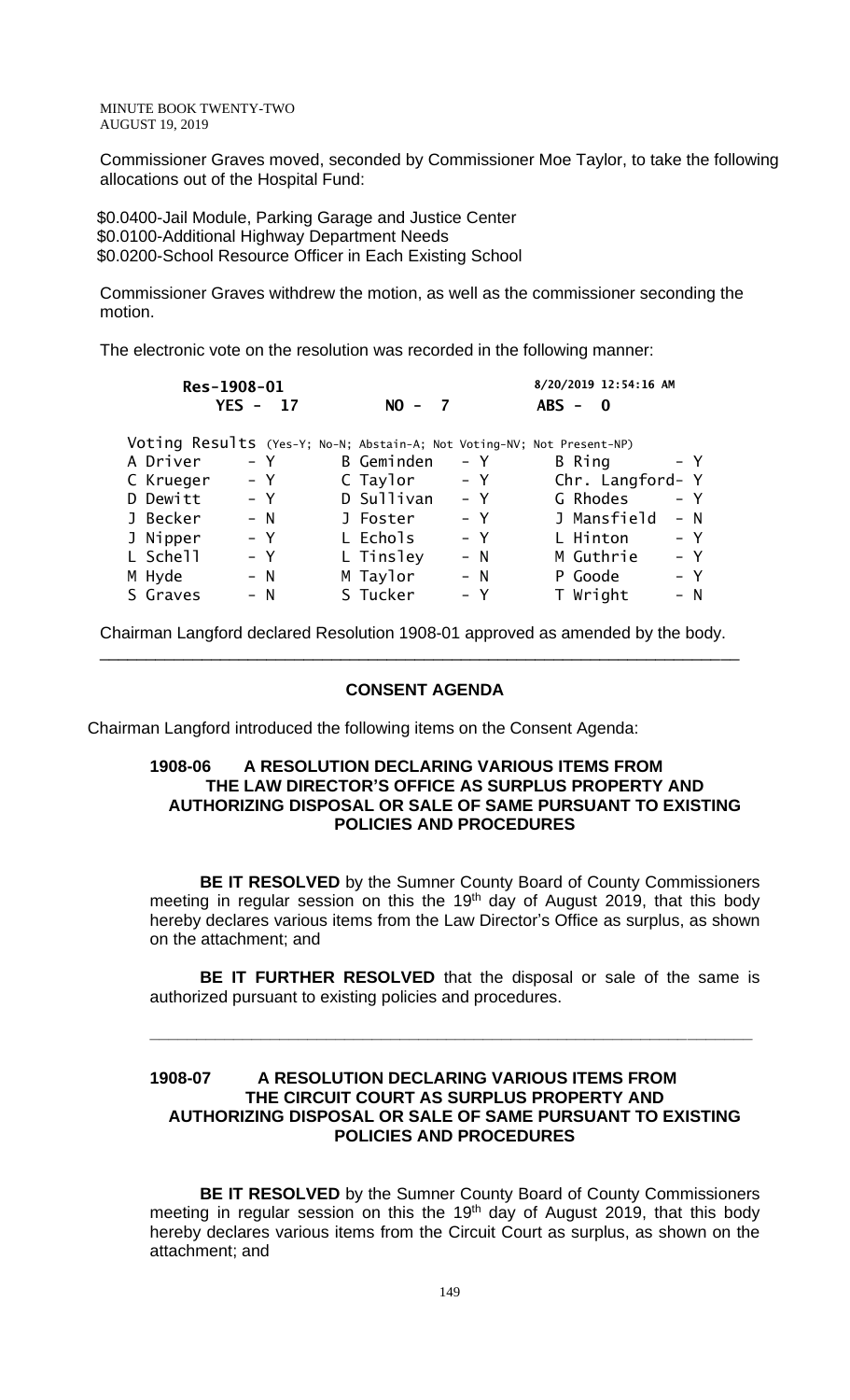Commissioner Graves moved, seconded by Commissioner Moe Taylor, to take the following allocations out of the Hospital Fund:

 \$0.0400-Jail Module, Parking Garage and Justice Center \$0.0100-Additional Highway Department Needs \$0.0200-School Resource Officer in Each Existing School

Commissioner Graves withdrew the motion, as well as the commissioner seconding the motion.

The electronic vote on the resolution was recorded in the following manner:

| Res-1908-01                                                            |    |                   |       | 8/20/2019 12:54:16 AM |       |
|------------------------------------------------------------------------|----|-------------------|-------|-----------------------|-------|
| $YES -$                                                                | 17 | $NO - 7$          |       | $ABS - 0$             |       |
| Voting Results (Yes-Y; No-N; Abstain-A; Not Voting-NV; Not Present-NP) |    |                   |       |                       |       |
| A Driver<br>– Y                                                        |    | <b>B</b> Geminden | $- Y$ | B Ring                | – Y   |
| $- Y$<br>C Krueger                                                     |    | C Taylor          | $- Y$ | Chr. Langford- Y      |       |
| D Dewitt<br>$- Y$                                                      |    | D Sullivan        | – Y   | G Rhodes              | – Y   |
| $- N$<br>J Becker                                                      |    | J Foster          | $- Y$ | J Mansfield           | $- N$ |
| $- Y$<br>J Nipper                                                      |    | L Echols          | – Y   | L Hinton              | $- Y$ |
| L Schell<br>– Y                                                        |    | L Tinsley         | $- N$ | M Guthrie             | $- Y$ |
| M Hyde<br>$- N$                                                        |    | M Taylor          | $- N$ | P Goode               | – Y   |
| S Graves<br>$- N$                                                      |    | S Tucker          | – Y   | T Wright              | – N   |

Chairman Langford declared Resolution 1908-01 approved as amended by the body. \_\_\_\_\_\_\_\_\_\_\_\_\_\_\_\_\_\_\_\_\_\_\_\_\_\_\_\_\_\_\_\_\_\_\_\_\_\_\_\_\_\_\_\_\_\_\_\_\_\_\_\_\_\_\_\_\_\_\_\_\_\_\_\_\_\_\_\_\_

#### **CONSENT AGENDA**

Chairman Langford introduced the following items on the Consent Agenda:

#### **1908-06 A RESOLUTION DECLARING VARIOUS ITEMS FROM THE LAW DIRECTOR'S OFFICE AS SURPLUS PROPERTY AND AUTHORIZING DISPOSAL OR SALE OF SAME PURSUANT TO EXISTING POLICIES AND PROCEDURES**

**BE IT RESOLVED** by the Sumner County Board of County Commissioners meeting in regular session on this the 19<sup>th</sup> day of August 2019, that this body hereby declares various items from the Law Director's Office as surplus, as shown on the attachment; and

**BE IT FURTHER RESOLVED** that the disposal or sale of the same is authorized pursuant to existing policies and procedures.

**\_\_\_\_\_\_\_\_\_\_\_\_\_\_\_\_\_\_\_\_\_\_\_\_\_\_\_\_\_\_\_\_\_\_\_\_\_\_\_\_\_\_\_\_\_\_\_\_\_\_\_\_\_\_\_\_\_\_\_\_\_\_\_\_\_**

#### **1908-07 A RESOLUTION DECLARING VARIOUS ITEMS FROM THE CIRCUIT COURT AS SURPLUS PROPERTY AND AUTHORIZING DISPOSAL OR SALE OF SAME PURSUANT TO EXISTING POLICIES AND PROCEDURES**

**BE IT RESOLVED** by the Sumner County Board of County Commissioners meeting in regular session on this the 19<sup>th</sup> day of August 2019, that this body hereby declares various items from the Circuit Court as surplus, as shown on the attachment; and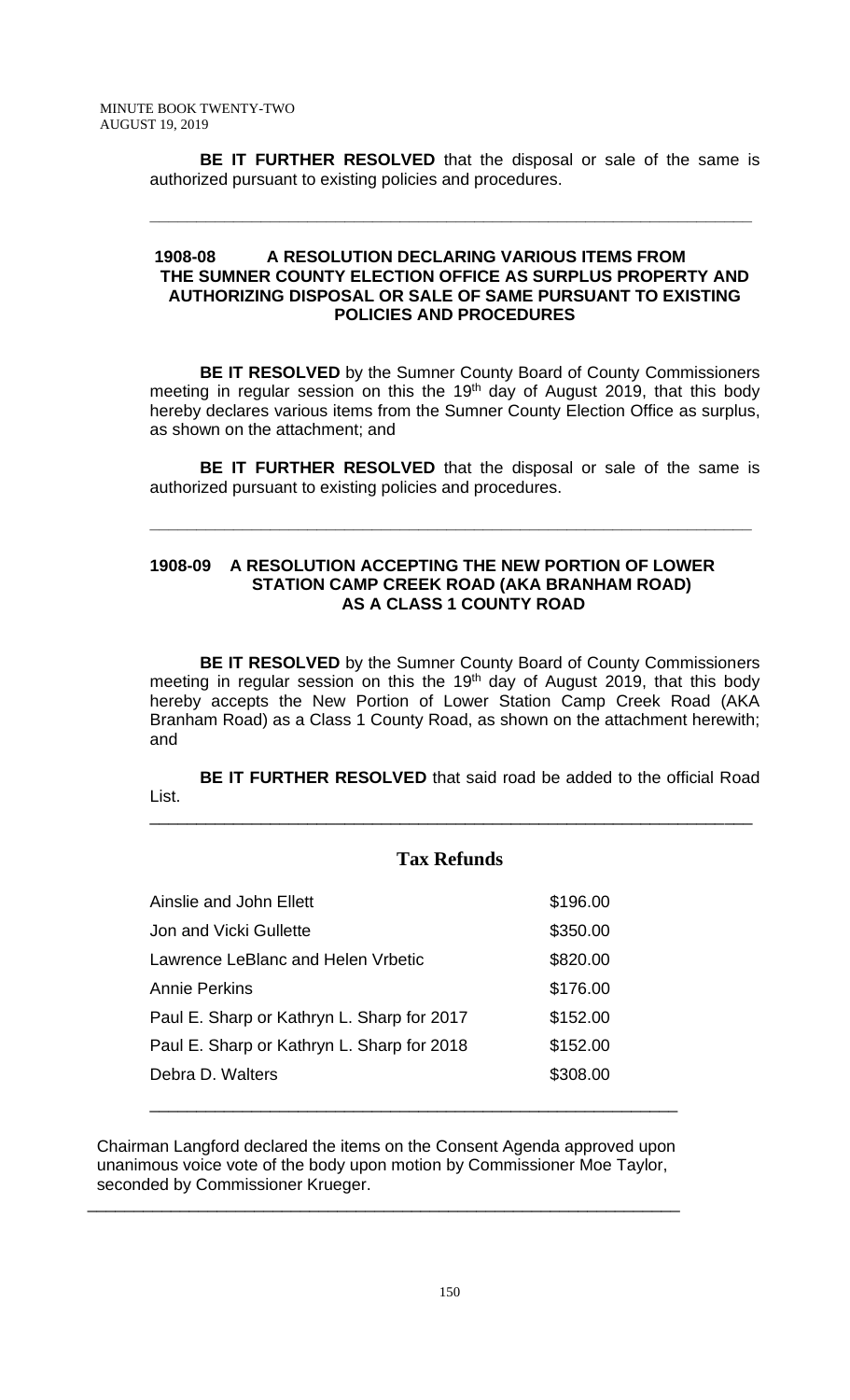**BE IT FURTHER RESOLVED** that the disposal or sale of the same is authorized pursuant to existing policies and procedures.

**\_\_\_\_\_\_\_\_\_\_\_\_\_\_\_\_\_\_\_\_\_\_\_\_\_\_\_\_\_\_\_\_\_\_\_\_\_\_\_\_\_\_\_\_\_\_\_\_\_\_\_\_\_\_\_\_\_\_\_\_\_\_\_\_\_**

### **1908-08 A RESOLUTION DECLARING VARIOUS ITEMS FROM THE SUMNER COUNTY ELECTION OFFICE AS SURPLUS PROPERTY AND AUTHORIZING DISPOSAL OR SALE OF SAME PURSUANT TO EXISTING POLICIES AND PROCEDURES**

**BE IT RESOLVED** by the Sumner County Board of County Commissioners meeting in regular session on this the 19<sup>th</sup> day of August 2019, that this body hereby declares various items from the Sumner County Election Office as surplus, as shown on the attachment; and

**BE IT FURTHER RESOLVED** that the disposal or sale of the same is authorized pursuant to existing policies and procedures.

**\_\_\_\_\_\_\_\_\_\_\_\_\_\_\_\_\_\_\_\_\_\_\_\_\_\_\_\_\_\_\_\_\_\_\_\_\_\_\_\_\_\_\_\_\_\_\_\_\_\_\_\_\_\_\_\_\_\_\_\_\_\_\_\_\_**

# **1908-09 A RESOLUTION ACCEPTING THE NEW PORTION OF LOWER STATION CAMP CREEK ROAD (AKA BRANHAM ROAD) AS A CLASS 1 COUNTY ROAD**

**BE IT RESOLVED** by the Sumner County Board of County Commissioners meeting in regular session on this the 19<sup>th</sup> day of August 2019, that this body hereby accepts the New Portion of Lower Station Camp Creek Road (AKA Branham Road) as a Class 1 County Road, as shown on the attachment herewith; and

**BE IT FURTHER RESOLVED** that said road be added to the official Road List.

# **Tax Refunds**

\_\_\_\_\_\_\_\_\_\_\_\_\_\_\_\_\_\_\_\_\_\_\_\_\_\_\_\_\_\_\_\_\_\_\_\_\_\_\_\_\_\_\_\_\_\_\_\_\_\_\_\_\_\_\_\_\_\_\_\_\_\_\_\_\_

| Ainslie and John Ellett                    | \$196.00 |
|--------------------------------------------|----------|
| Jon and Vicki Gullette                     | \$350.00 |
| Lawrence LeBlanc and Helen Vrbetic         | \$820.00 |
| <b>Annie Perkins</b>                       | \$176.00 |
| Paul E. Sharp or Kathryn L. Sharp for 2017 | \$152.00 |
| Paul E. Sharp or Kathryn L. Sharp for 2018 | \$152.00 |
| Debra D. Walters                           | \$308.00 |
|                                            |          |

 Chairman Langford declared the items on the Consent Agenda approved upon unanimous voice vote of the body upon motion by Commissioner Moe Taylor, seconded by Commissioner Krueger.

\_\_\_\_\_\_\_\_\_\_\_\_\_\_\_\_\_\_\_\_\_\_\_\_\_\_\_\_\_\_\_\_\_\_\_\_\_\_\_\_\_\_\_\_\_\_\_\_\_\_\_\_\_\_\_\_\_\_\_\_\_\_\_\_

\_\_\_\_\_\_\_\_\_\_\_\_\_\_\_\_\_\_\_\_\_\_\_\_\_\_\_\_\_\_\_\_\_\_\_\_\_\_\_\_\_\_\_\_\_\_\_\_\_\_\_\_\_\_\_\_\_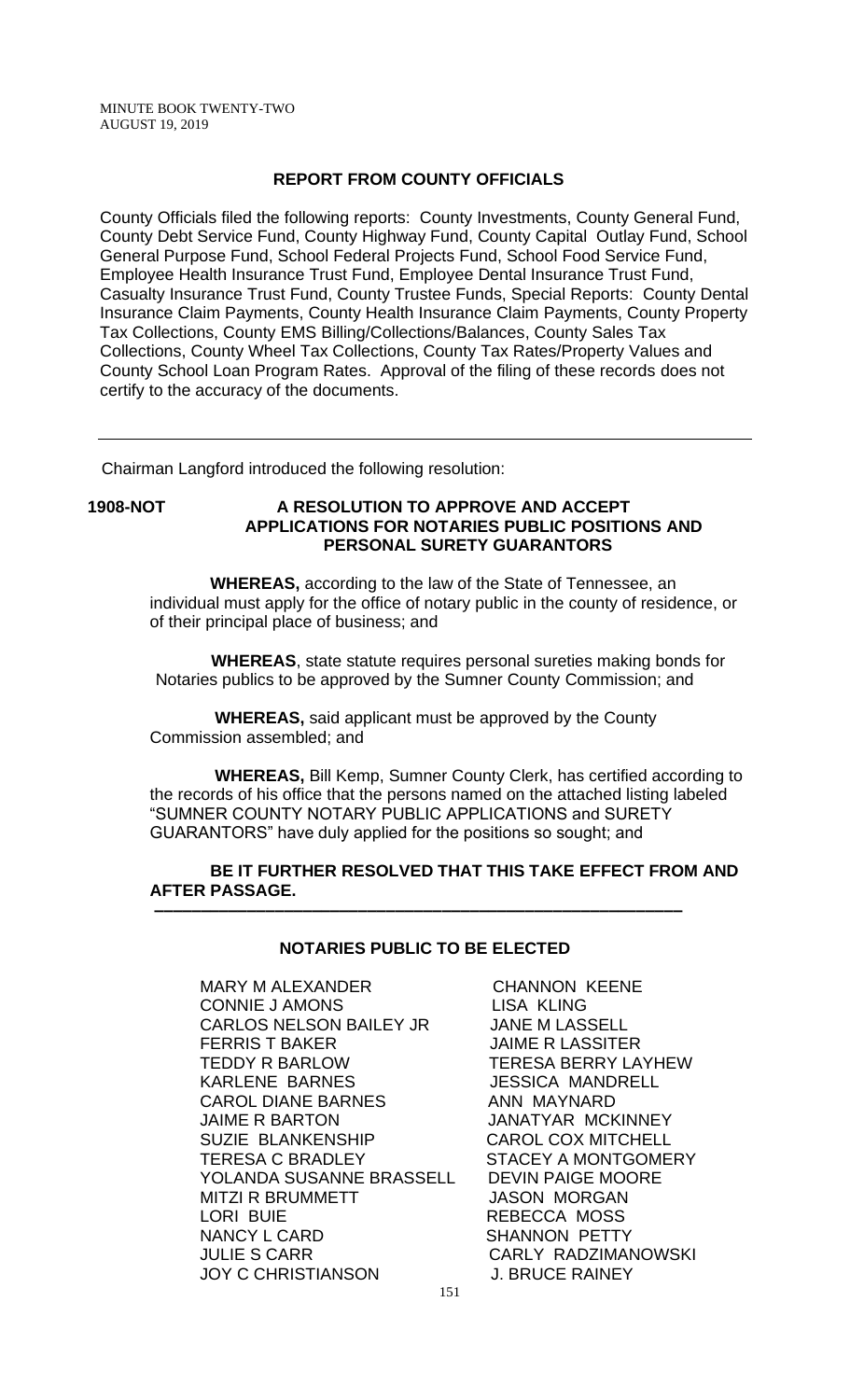#### **REPORT FROM COUNTY OFFICIALS**

County Officials filed the following reports: County Investments, County General Fund, County Debt Service Fund, County Highway Fund, County Capital Outlay Fund, School General Purpose Fund, School Federal Projects Fund, School Food Service Fund, Employee Health Insurance Trust Fund, Employee Dental Insurance Trust Fund, Casualty Insurance Trust Fund, County Trustee Funds, Special Reports: County Dental Insurance Claim Payments, County Health Insurance Claim Payments, County Property Tax Collections, County EMS Billing/Collections/Balances, County Sales Tax Collections, County Wheel Tax Collections, County Tax Rates/Property Values and County School Loan Program Rates. Approval of the filing of these records does not certify to the accuracy of the documents.

Chairman Langford introduced the following resolution:

#### **1908-NOT A RESOLUTION TO APPROVE AND ACCEPT APPLICATIONS FOR NOTARIES PUBLIC POSITIONS AND PERSONAL SURETY GUARANTORS**

 **WHEREAS,** according to the law of the State of Tennessee, an individual must apply for the office of notary public in the county of residence, or of their principal place of business; and

 **WHEREAS**, state statute requires personal sureties making bonds for Notaries publics to be approved by the Sumner County Commission; and

 **WHEREAS,** said applicant must be approved by the County Commission assembled; and

 **WHEREAS,** Bill Kemp, Sumner County Clerk, has certified according to the records of his office that the persons named on the attached listing labeled "SUMNER COUNTY NOTARY PUBLIC APPLICATIONS and SURETY GUARANTORS" have duly applied for the positions so sought; and

#### **BE IT FURTHER RESOLVED THAT THIS TAKE EFFECT FROM AND AFTER PASSAGE. –––––––––––––––––––––––––––––––––––––––––––––––––––––––––**

#### **NOTARIES PUBLIC TO BE ELECTED**

MARY M ALEXANDER CHANNON KEENE CONNIE JAMONS<br>CARLOS NELSON BAILEY JR JANE M LASSELL CARLOS NELSON BAILEY JR FERRIS T BAKER JAIME R LASSITER TEDDY R BARLOW TERESA BERRY LAYHEW KARLENE BARNES JESSICA MANDRELL CAROL DIANE BARNES ANN MAYNARD JAIME R BARTON JANATYAR MCKINNEY<br>SUZIE BLANKENSHIP CAROL COX MITCHELL SUZIE BLANKENSHIP TERESA C BRADLEY STACEY A MONTGOMERY YOLANDA SUSANNE BRASSELL DEVIN PAIGE MOORE MITZI R BRUMMETT JASON MORGAN LORI BUIE REBECCA MOSS NANCY L CARD SHANNON PETTY JULIE S CARR CARLY RADZIMANOWSKI JOY C CHRISTIANSON J. BRUCE RAINEY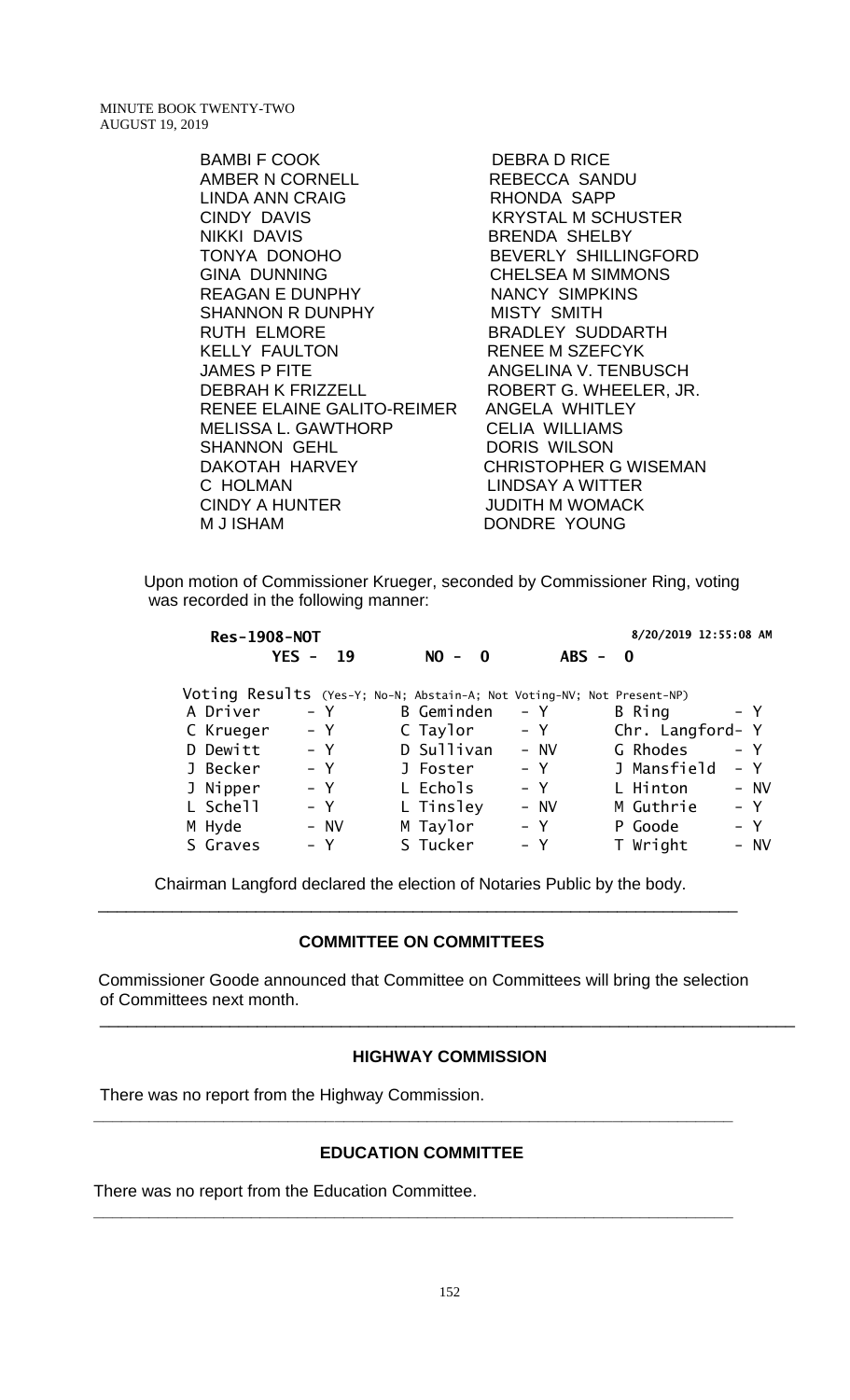> BAMBI F COOK DEBRA D RICE AMBER N CORNELL REBECCA SANDU LINDA ANN CRAIG RHONDA SAPP CINDY DAVIS KRYSTAL M SCHUSTER NIKKI DAVIS BRENDA SHELBY TONYA DONOHO BEVERLY SHILLINGFORD GINA DUNNING CHELSEA M SIMMONS REAGAN E DUNPHY NANCY SIMPKINS SHANNON R DUNPHY MISTY SMITH RUTH ELMORE BRADLEY SUDDARTH KELLY FAULTON RENEE M SZEFCYK JAMES P FITE ANGELINA V. TENBUSCH DEBRAH K FRIZZELL ROBERT G. WHEELER, JR. RENEE ELAINE GALITO-REIMER ANGELA WHITLEY MELISSA L. GAWTHORP CELIA WILLIAMS SHANNON GEHL DORIS WILSON DAKOTAH HARVEY CHRISTOPHER G WISEMAN C HOLMAN LINDSAY A WITTER CINDY A HUNTER JUDITH M WOMACK M J ISHAM DONDRE YOUNG

Upon motion of Commissioner Krueger, seconded by Commissioner Ring, voting was recorded in the following manner:

|           | <b>Res-1908-NOT</b> |                                                                        |           | 8/20/2019 12:55:08 AM |       |
|-----------|---------------------|------------------------------------------------------------------------|-----------|-----------------------|-------|
|           | $YES -$<br>-19      | $NO -$<br>$\mathbf{0}$                                                 | $ABS - 0$ |                       |       |
|           |                     | Voting Results (Yes-Y; No-N; Abstain-A; Not Voting-NV; Not Present-NP) |           |                       |       |
| A Driver  | – Y                 | B Geminden                                                             | - Y       | B Ring                | $- Y$ |
| C Krueger | $- Y$               | C Taylor                                                               | $- Y$     | Chr. Langford- Y      |       |
| D Dewitt  | – Y                 | D Sullivan                                                             | - NV      | G Rhodes              | $- Y$ |
| J Becker  | $- Y$               | J Foster                                                               | $- Y$     | J Mansfield           | – Y   |
| J Nipper  | $- Y$               | L Echols                                                               | – Y       | L Hinton              | - NV  |
| L Schell  | $- Y$               | L Tinsley                                                              | $-$ NV    | M Guthrie             | $- Y$ |
| M Hyde    | - NV                | M Taylor                                                               | – Y       | P Goode               | – Y   |
| S Graves  | – Y                 | S Tucker                                                               | - Y       | T Wright              | - NV  |

Chairman Langford declared the election of Notaries Public by the body. \_\_\_\_\_\_\_\_\_\_\_\_\_\_\_\_\_\_\_\_\_\_\_\_\_\_\_\_\_\_\_\_\_\_\_\_\_\_\_\_\_\_\_\_\_\_\_\_\_\_\_\_\_\_\_\_\_\_\_\_\_\_\_\_\_\_\_\_\_

#### **COMMITTEE ON COMMITTEES**

Commissioner Goode announced that Committee on Committees will bring the selection of Committees next month.

#### **HIGHWAY COMMISSION**

\_\_\_\_\_\_\_\_\_\_\_\_\_\_\_\_\_\_\_\_\_\_\_\_\_\_\_\_\_\_\_\_\_\_\_\_\_\_\_\_\_\_\_\_\_\_\_\_\_\_\_\_\_\_\_\_\_\_\_\_\_\_\_\_\_\_\_\_\_\_\_\_\_\_\_

There was no report from the Highway Commission.

#### **EDUCATION COMMITTEE**

**\_\_\_\_\_\_\_\_\_\_\_\_\_\_\_\_\_\_\_\_\_\_\_\_\_\_\_\_\_\_\_\_\_\_\_\_\_\_\_\_\_\_\_\_\_\_\_\_\_\_\_\_\_\_\_\_\_\_\_\_\_\_\_\_\_\_\_\_\_**

**\_\_\_\_\_\_\_\_\_\_\_\_\_\_\_\_\_\_\_\_\_\_\_\_\_\_\_\_\_\_\_\_\_\_\_\_\_\_\_\_\_\_\_\_\_\_\_\_\_\_\_\_\_\_\_\_\_\_\_\_\_\_\_\_\_\_\_\_\_**

There was no report from the Education Committee.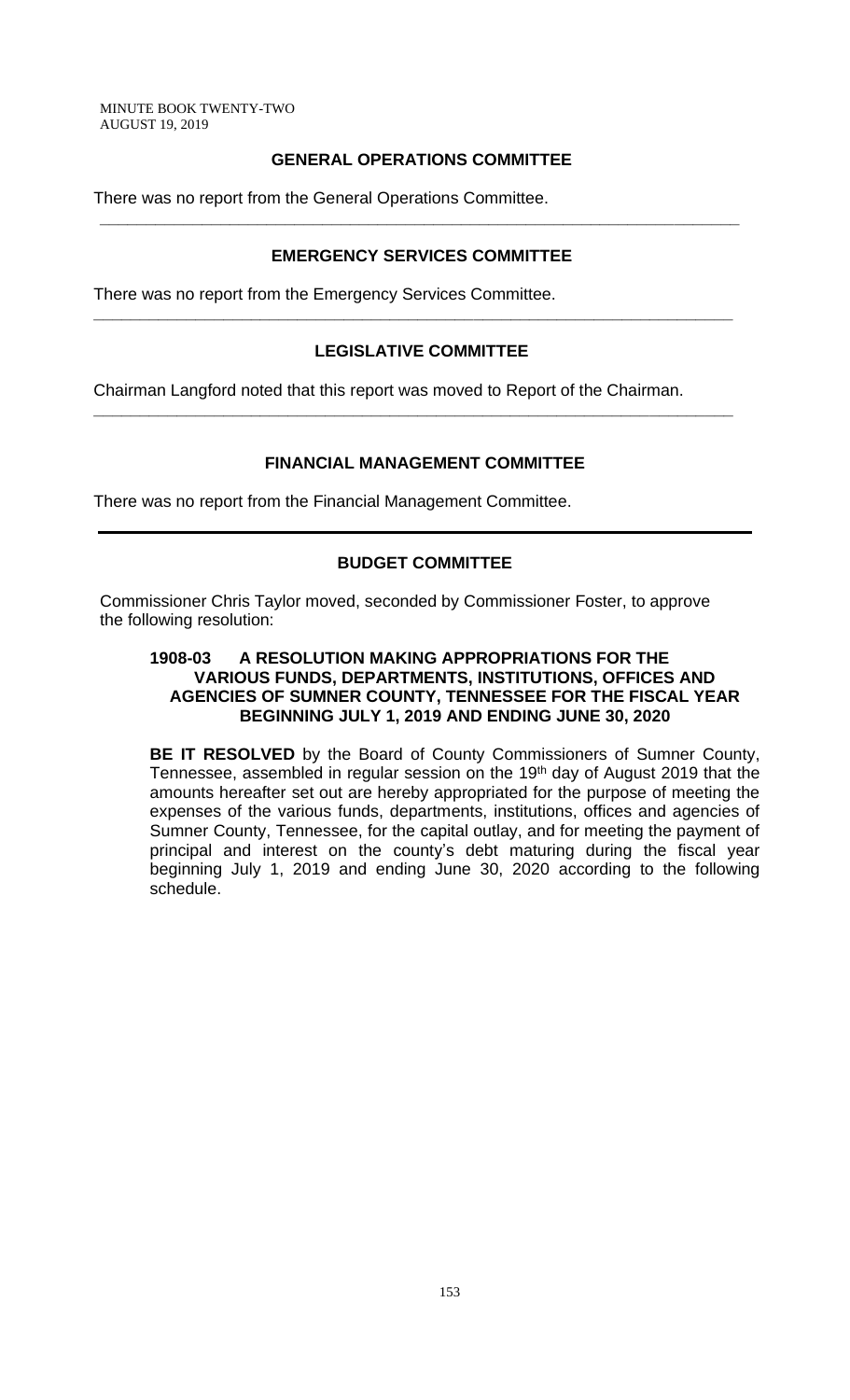# **GENERAL OPERATIONS COMMITTEE**

There was no report from the General Operations Committee.

# **EMERGENCY SERVICES COMMITTEE**

**\_\_\_\_\_\_\_\_\_\_\_\_\_\_\_\_\_\_\_\_\_\_\_\_\_\_\_\_\_\_\_\_\_\_\_\_\_\_\_\_\_\_\_\_\_\_\_\_\_\_\_\_\_\_\_\_\_\_\_\_\_\_\_\_\_\_\_\_\_**

There was no report from the Emergency Services Committee.

# **LEGISLATIVE COMMITTEE**

**\_\_\_\_\_\_\_\_\_\_\_\_\_\_\_\_\_\_\_\_\_\_\_\_\_\_\_\_\_\_\_\_\_\_\_\_\_\_\_\_\_\_\_\_\_\_\_\_\_\_\_\_\_\_\_\_\_\_\_\_\_\_\_\_\_\_\_\_\_**

**\_\_\_\_\_\_\_\_\_\_\_\_\_\_\_\_\_\_\_\_\_\_\_\_\_\_\_\_\_\_\_\_\_\_\_\_\_\_\_\_\_\_\_\_\_\_\_\_\_\_\_\_\_\_\_\_\_\_\_\_\_\_\_\_\_\_\_\_\_**

Chairman Langford noted that this report was moved to Report of the Chairman.

# **FINANCIAL MANAGEMENT COMMITTEE**

There was no report from the Financial Management Committee.

# **BUDGET COMMITTEE**

Commissioner Chris Taylor moved, seconded by Commissioner Foster, to approve the following resolution:

### **1908-03 A RESOLUTION MAKING APPROPRIATIONS FOR THE VARIOUS FUNDS, DEPARTMENTS, INSTITUTIONS, OFFICES AND AGENCIES OF SUMNER COUNTY, TENNESSEE FOR THE FISCAL YEAR BEGINNING JULY 1, 2019 AND ENDING JUNE 30, 2020**

**BE IT RESOLVED** by the Board of County Commissioners of Sumner County, Tennessee, assembled in regular session on the 19<sup>th</sup> day of August 2019 that the amounts hereafter set out are hereby appropriated for the purpose of meeting the expenses of the various funds, departments, institutions, offices and agencies of Sumner County, Tennessee, for the capital outlay, and for meeting the payment of principal and interest on the county's debt maturing during the fiscal year beginning July 1, 2019 and ending June 30, 2020 according to the following schedule.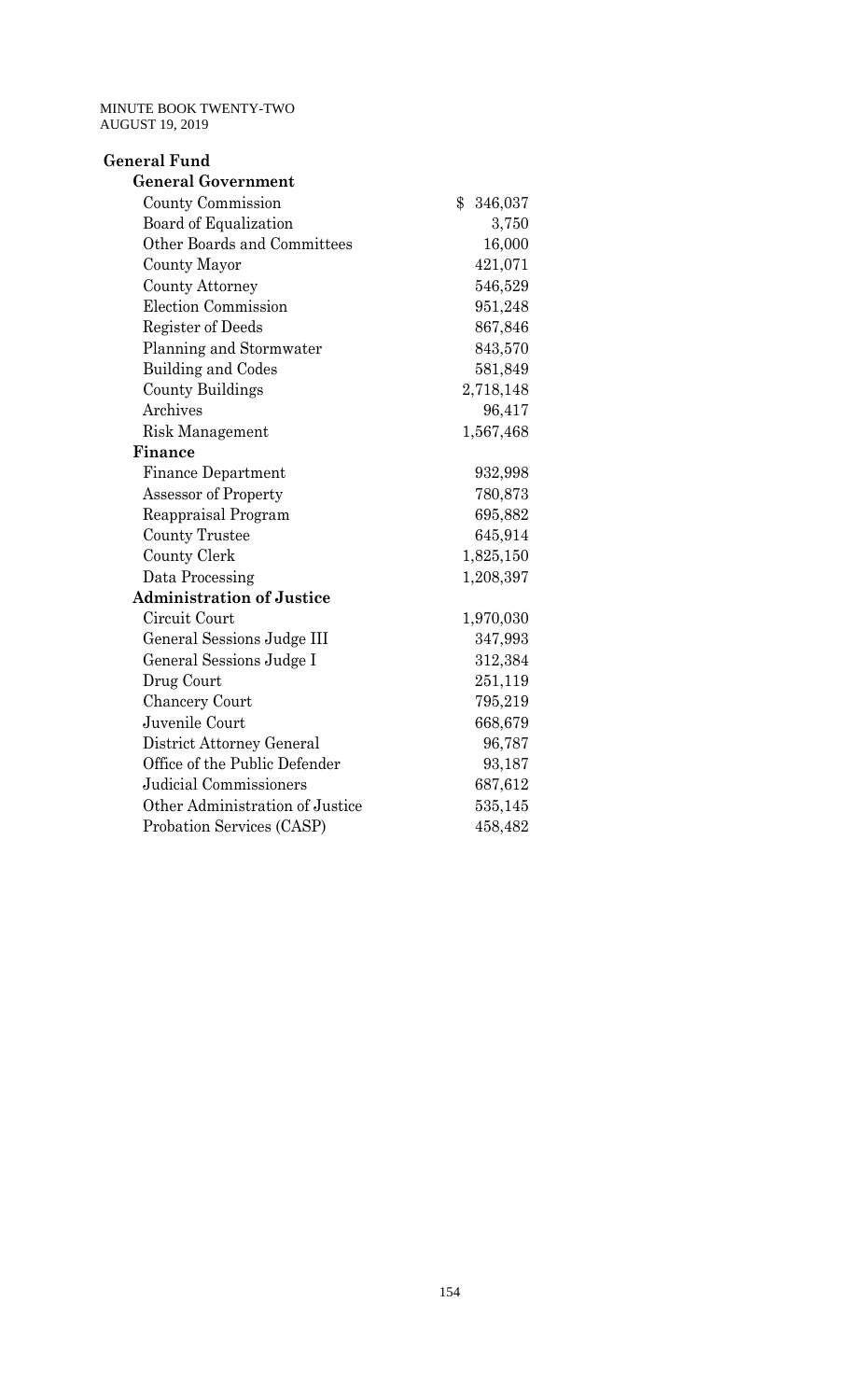| <b>General Fund</b>              |                  |
|----------------------------------|------------------|
| <b>General Government</b>        |                  |
| County Commission                | $\$\$<br>346,037 |
| Board of Equalization            | 3,750            |
| Other Boards and Committees      | 16,000           |
| <b>County Mayor</b>              | 421,071          |
| County Attorney                  | 546,529          |
| <b>Election Commission</b>       | 951,248          |
| <b>Register of Deeds</b>         | 867,846          |
| Planning and Stormwater          | 843,570          |
| <b>Building and Codes</b>        | 581,849          |
| <b>County Buildings</b>          | 2,718,148        |
| Archives                         | 96,417           |
| <b>Risk Management</b>           | 1,567,468        |
| <b>Finance</b>                   |                  |
| Finance Department               | 932,998          |
| Assessor of Property             | 780,873          |
| Reappraisal Program              | 695,882          |
| <b>County Trustee</b>            | 645,914          |
| County Clerk                     | 1,825,150        |
| Data Processing                  | 1,208,397        |
| <b>Administration of Justice</b> |                  |
| Circuit Court                    | 1,970,030        |
| General Sessions Judge III       | 347,993          |
| General Sessions Judge I         | 312,384          |
| Drug Court                       | 251,119          |
| <b>Chancery Court</b>            | 795,219          |
| Juvenile Court                   | 668,679          |
| District Attorney General        | 96,787           |
| Office of the Public Defender    | 93,187           |
| <b>Judicial Commissioners</b>    | 687,612          |
| Other Administration of Justice  | 535,145          |
| Probation Services (CASP)        | 458,482          |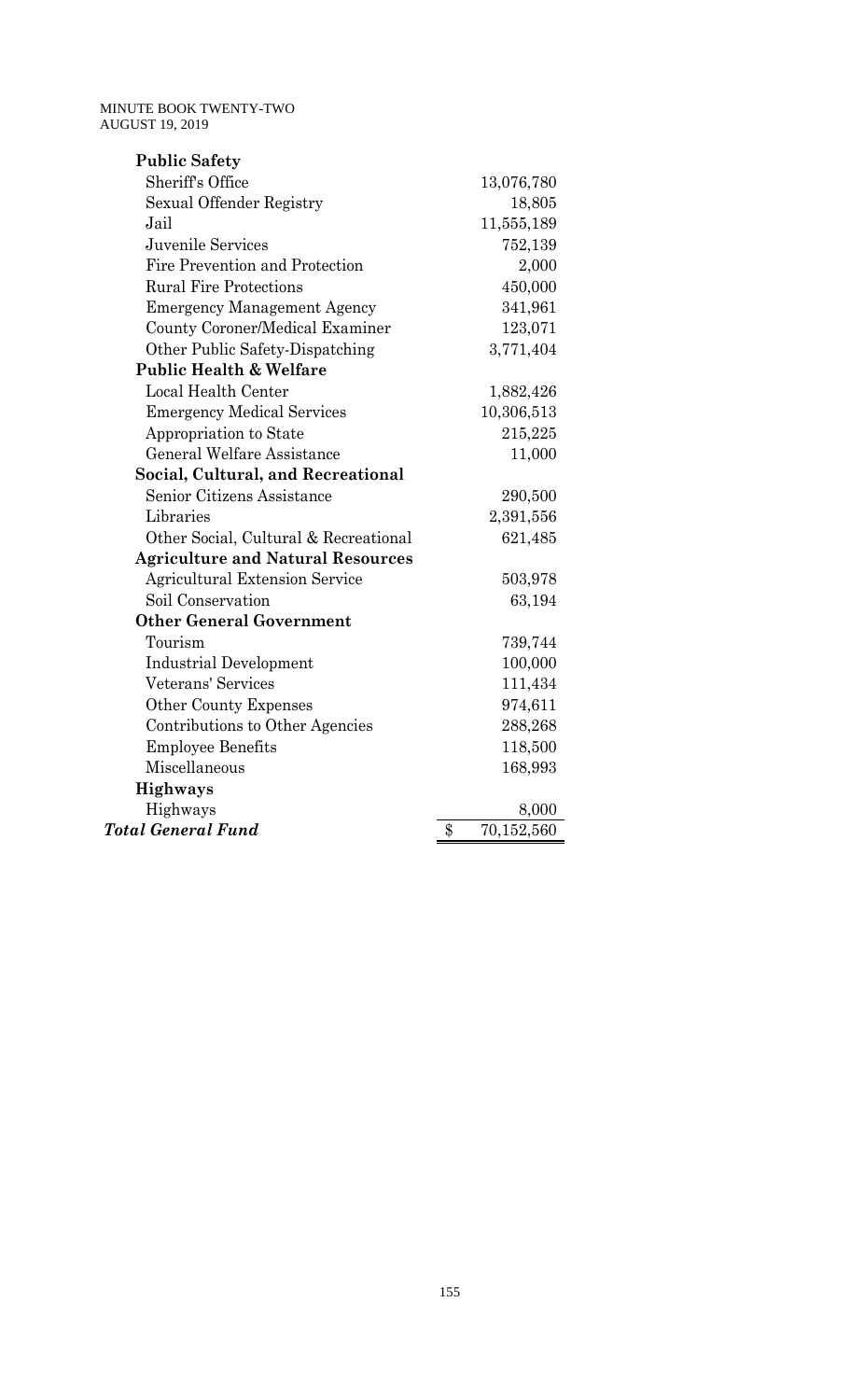| <b>Public Safety</b>                     |                  |
|------------------------------------------|------------------|
| Sheriff's Office                         | 13,076,780       |
| Sexual Offender Registry                 | 18,805           |
| Jail                                     | 11,555,189       |
| Juvenile Services                        | 752,139          |
| Fire Prevention and Protection           | 2,000            |
| <b>Rural Fire Protections</b>            | 450,000          |
| <b>Emergency Management Agency</b>       | 341,961          |
| County Coroner/Medical Examiner          | 123,071          |
| Other Public Safety-Dispatching          | 3,771,404        |
| <b>Public Health &amp; Welfare</b>       |                  |
| Local Health Center                      | 1,882,426        |
| <b>Emergency Medical Services</b>        | 10,306,513       |
| Appropriation to State                   | 215,225          |
| General Welfare Assistance               | 11,000           |
| Social, Cultural, and Recreational       |                  |
| Senior Citizens Assistance               | 290,500          |
| Libraries                                | 2,391,556        |
| Other Social, Cultural & Recreational    | 621,485          |
| <b>Agriculture and Natural Resources</b> |                  |
| <b>Agricultural Extension Service</b>    | 503,978          |
| Soil Conservation                        | 63,194           |
| <b>Other General Government</b>          |                  |
| Tourism                                  | 739,744          |
| <b>Industrial Development</b>            | 100,000          |
| Veterans' Services                       | 111,434          |
| Other County Expenses                    | 974,611          |
| Contributions to Other Agencies          | 288,268          |
| <b>Employee Benefits</b>                 | 118,500          |
| Miscellaneous                            | 168,993          |
| Highways                                 |                  |
| Highways                                 | 8,000            |
| <b>Total General Fund</b>                | \$<br>70,152,560 |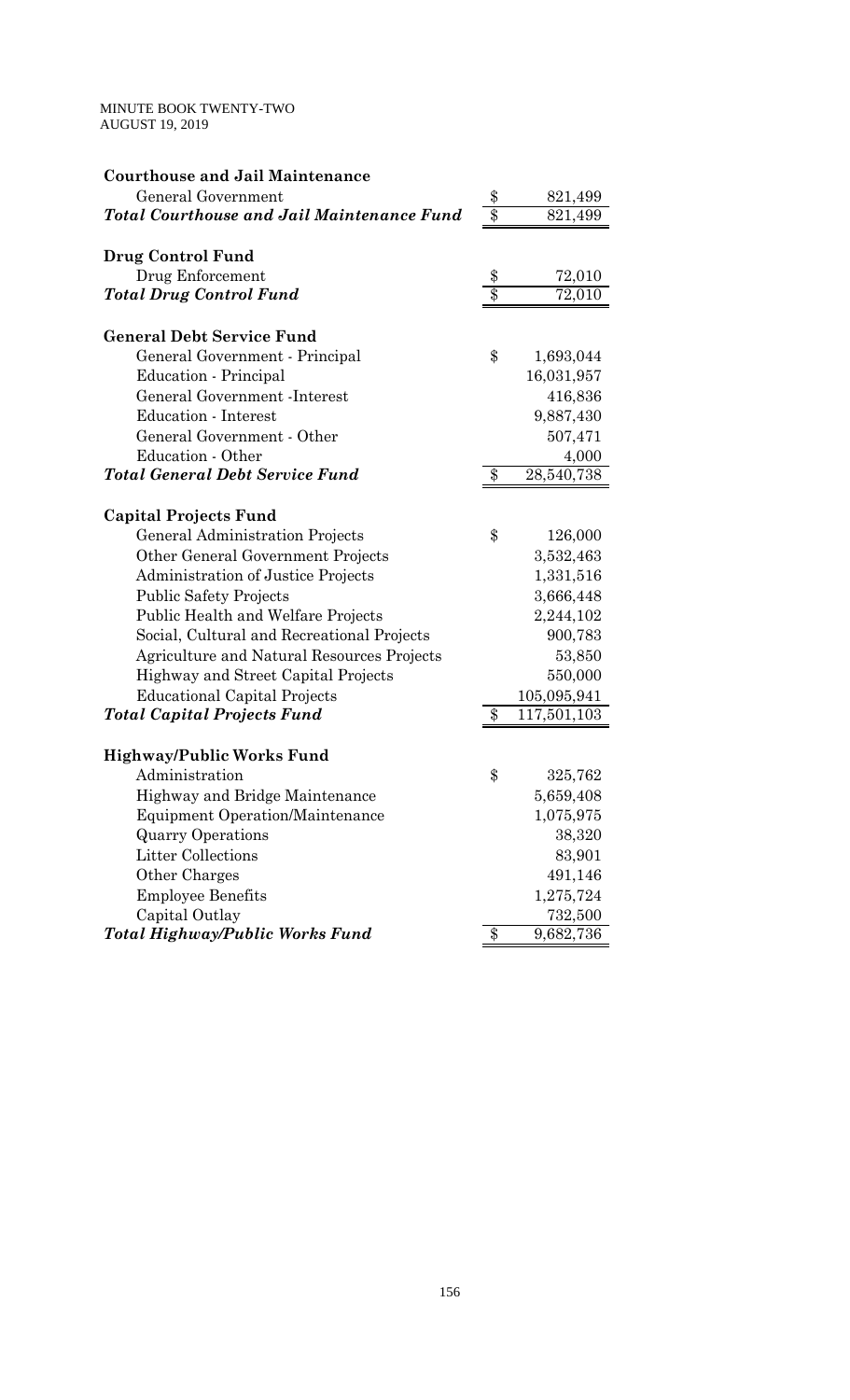| <b>Courthouse and Jail Maintenance</b>            |                  |             |
|---------------------------------------------------|------------------|-------------|
| General Government                                | \$               | 821,499     |
| <b>Total Courthouse and Jail Maintenance Fund</b> | $\overline{\$}$  | 821,499     |
|                                                   |                  |             |
| Drug Control Fund                                 |                  |             |
| Drug Enforcement                                  | \$               | 72,010      |
| <b>Total Drug Control Fund</b>                    | $\overline{\$\}$ | 72,010      |
| <b>General Debt Service Fund</b>                  |                  |             |
| General Government - Principal                    | \$               | 1,693,044   |
| Education - Principal                             |                  | 16,031,957  |
| General Government - Interest                     |                  | 416,836     |
| <b>Education</b> - Interest                       |                  | 9,887,430   |
| General Government - Other                        |                  | 507,471     |
| Education - Other                                 |                  | 4,000       |
| <b>Total General Debt Service Fund</b>            | $\$\$            | 28,540,738  |
|                                                   |                  |             |
| <b>Capital Projects Fund</b>                      |                  |             |
| General Administration Projects                   | \$               | 126,000     |
| Other General Government Projects                 |                  | 3,532,463   |
| Administration of Justice Projects                |                  | 1,331,516   |
| <b>Public Safety Projects</b>                     |                  | 3,666,448   |
| Public Health and Welfare Projects                |                  | 2,244,102   |
| Social, Cultural and Recreational Projects        |                  | 900,783     |
| Agriculture and Natural Resources Projects        |                  | 53,850      |
| Highway and Street Capital Projects               |                  | 550,000     |
| <b>Educational Capital Projects</b>               |                  | 105,095,941 |
| <b>Total Capital Projects Fund</b>                | $\$\$            | 117,501,103 |
|                                                   |                  |             |
| <b>Highway/Public Works Fund</b>                  |                  |             |
| Administration                                    | \$               | 325,762     |
| Highway and Bridge Maintenance                    |                  | 5,659,408   |
| <b>Equipment Operation/Maintenance</b>            |                  | 1,075,975   |
| <b>Quarry Operations</b>                          |                  | 38,320      |
| <b>Litter Collections</b>                         |                  | 83,901      |
| Other Charges                                     |                  | 491,146     |
| <b>Employee Benefits</b>                          |                  | 1,275,724   |
| Capital Outlay                                    |                  | 732,500     |
| Total Highway/Public Works Fund                   | \$               | 9,682,736   |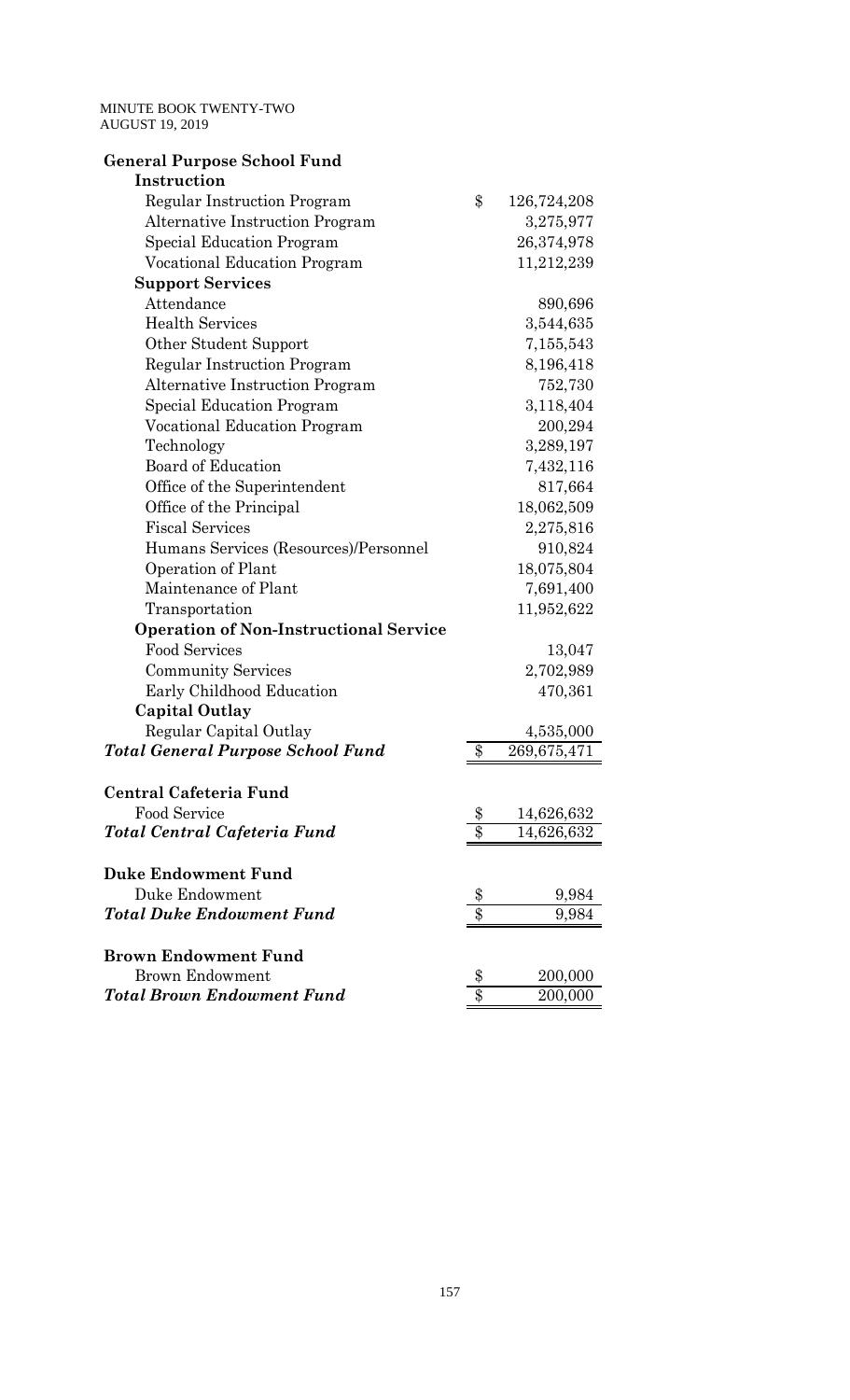| <b>General Purpose School Fund</b>            |                  |             |
|-----------------------------------------------|------------------|-------------|
| Instruction                                   |                  |             |
| <b>Regular Instruction Program</b>            | \$               | 126,724,208 |
| <b>Alternative Instruction Program</b>        |                  | 3,275,977   |
| <b>Special Education Program</b>              |                  | 26,374,978  |
| <b>Vocational Education Program</b>           |                  | 11,212,239  |
| <b>Support Services</b>                       |                  |             |
| Attendance                                    |                  | 890,696     |
| <b>Health Services</b>                        |                  | 3,544,635   |
| Other Student Support                         |                  | 7,155,543   |
| <b>Regular Instruction Program</b>            |                  | 8,196,418   |
| <b>Alternative Instruction Program</b>        |                  | 752,730     |
| <b>Special Education Program</b>              |                  | 3,118,404   |
| <b>Vocational Education Program</b>           |                  | 200,294     |
| Technology                                    |                  | 3,289,197   |
| <b>Board of Education</b>                     |                  | 7,432,116   |
| Office of the Superintendent                  |                  | 817,664     |
| Office of the Principal                       |                  | 18,062,509  |
| <b>Fiscal Services</b>                        |                  | 2,275,816   |
| Humans Services (Resources)/Personnel         |                  | 910,824     |
| Operation of Plant                            |                  | 18,075,804  |
| Maintenance of Plant                          |                  | 7,691,400   |
| Transportation                                |                  | 11,952,622  |
| <b>Operation of Non-Instructional Service</b> |                  |             |
| <b>Food Services</b>                          |                  | 13,047      |
| <b>Community Services</b>                     |                  | 2,702,989   |
| Early Childhood Education                     |                  | 470,361     |
| <b>Capital Outlay</b>                         |                  |             |
| Regular Capital Outlay                        |                  | 4,535,000   |
| <b>Total General Purpose School Fund</b>      | \$               | 269,675,471 |
| Central Cafeteria Fund                        |                  |             |
| Food Service                                  | \$               | 14,626,632  |
| Total Central Cafeteria Fund                  | $\overline{\$}$  | 14,626,632  |
|                                               |                  |             |
| <b>Duke Endowment Fund</b>                    |                  |             |
| Duke Endowment                                | \$               | 9,984       |
| <b>Total Duke Endowment Fund</b>              | $\overline{\$}$  | 9,984       |
| <b>Brown Endowment Fund</b>                   |                  |             |
| <b>Brown Endowment</b>                        | \$               | 200,000     |
| <b>Total Brown Endowment Fund</b>             | $\overline{\$\}$ | 200,000     |
|                                               |                  |             |

157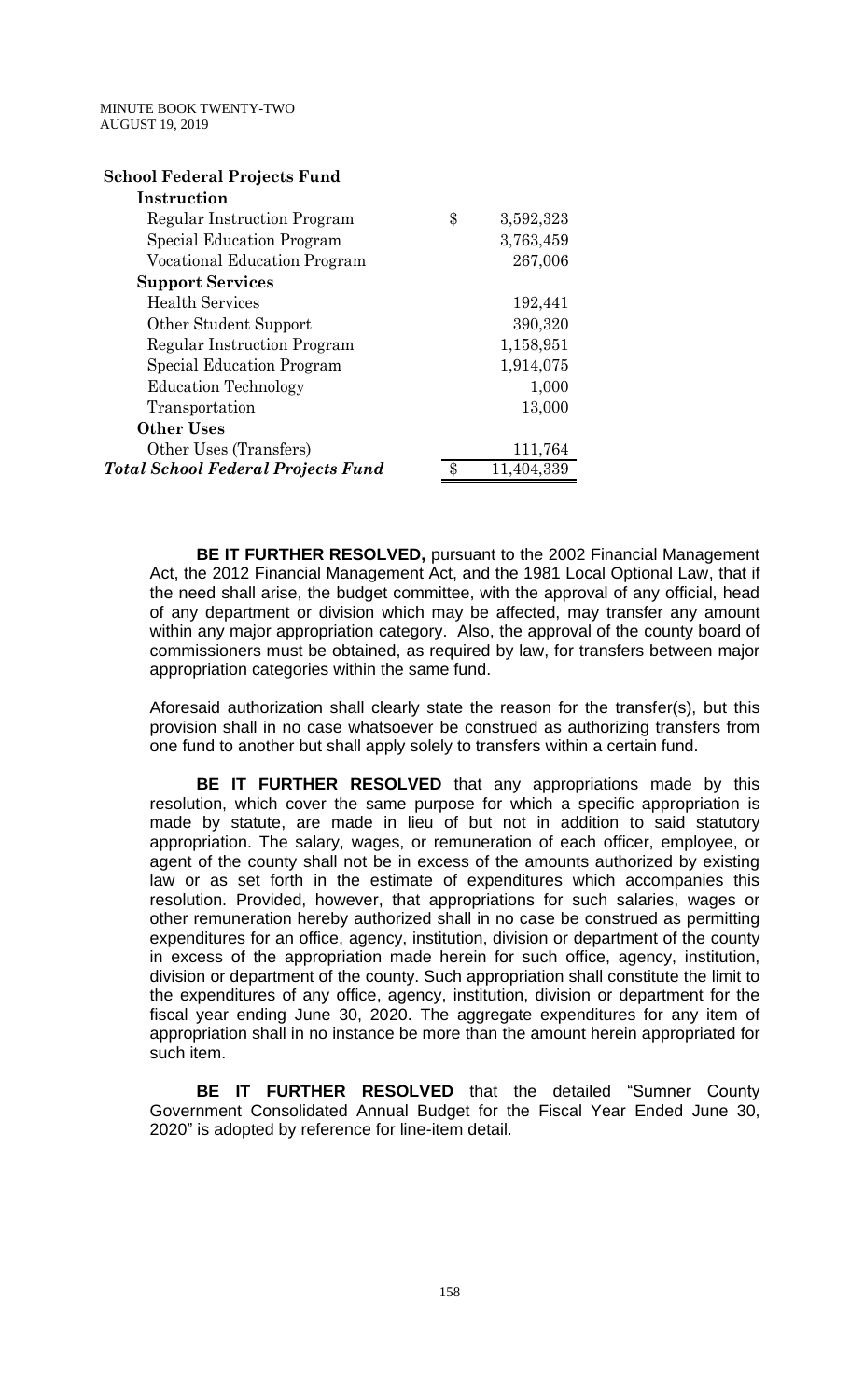| <b>School Federal Projects Fund</b>       |                 |
|-------------------------------------------|-----------------|
| Instruction                               |                 |
| Regular Instruction Program               | \$<br>3,592,323 |
| Special Education Program                 | 3,763,459       |
| <b>Vocational Education Program</b>       | 267,006         |
| <b>Support Services</b>                   |                 |
| <b>Health Services</b>                    | 192,441         |
| Other Student Support                     | 390,320         |
| Regular Instruction Program               | 1,158,951       |
| Special Education Program                 | 1,914,075       |
| <b>Education Technology</b>               | 1,000           |
| Transportation                            | 13,000          |
| <b>Other Uses</b>                         |                 |
| Other Uses (Transfers)                    | 111,764         |
| <b>Total School Federal Projects Fund</b> | 11,404,339      |

 **BE IT FURTHER RESOLVED,** pursuant to the 2002 Financial Management Act, the 2012 Financial Management Act, and the 1981 Local Optional Law, that if the need shall arise, the budget committee, with the approval of any official, head of any department or division which may be affected, may transfer any amount within any major appropriation category. Also, the approval of the county board of commissioners must be obtained, as required by law, for transfers between major appropriation categories within the same fund.

Aforesaid authorization shall clearly state the reason for the transfer(s), but this provision shall in no case whatsoever be construed as authorizing transfers from one fund to another but shall apply solely to transfers within a certain fund.

 **BE IT FURTHER RESOLVED** that any appropriations made by this resolution, which cover the same purpose for which a specific appropriation is made by statute, are made in lieu of but not in addition to said statutory appropriation. The salary, wages, or remuneration of each officer, employee, or agent of the county shall not be in excess of the amounts authorized by existing law or as set forth in the estimate of expenditures which accompanies this resolution. Provided, however, that appropriations for such salaries, wages or other remuneration hereby authorized shall in no case be construed as permitting expenditures for an office, agency, institution, division or department of the county in excess of the appropriation made herein for such office, agency, institution, division or department of the county. Such appropriation shall constitute the limit to the expenditures of any office, agency, institution, division or department for the fiscal year ending June 30, 2020. The aggregate expenditures for any item of appropriation shall in no instance be more than the amount herein appropriated for such item.

 **BE IT FURTHER RESOLVED** that the detailed "Sumner County Government Consolidated Annual Budget for the Fiscal Year Ended June 30, 2020" is adopted by reference for line-item detail.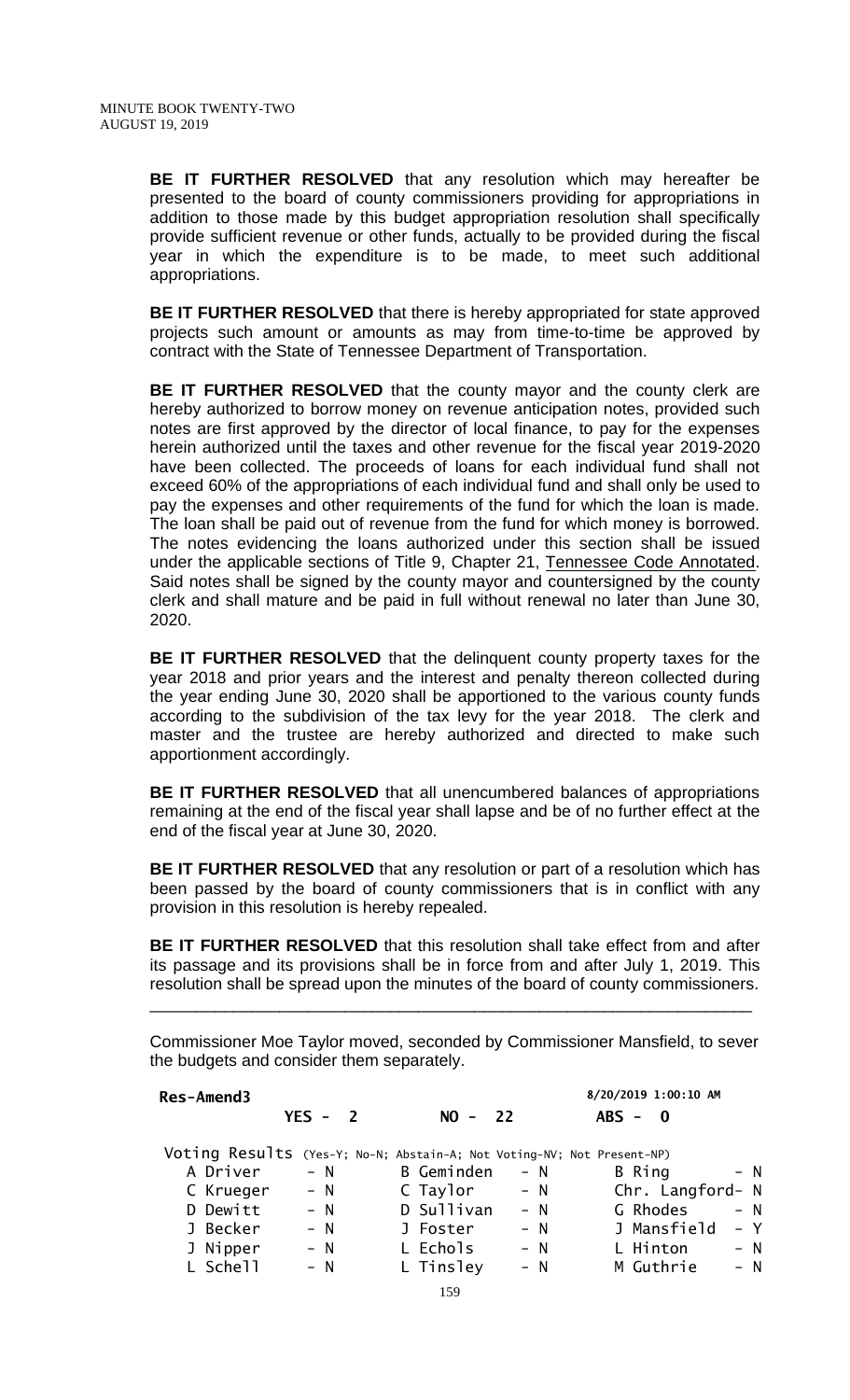**BE IT FURTHER RESOLVED** that any resolution which may hereafter be presented to the board of county commissioners providing for appropriations in addition to those made by this budget appropriation resolution shall specifically provide sufficient revenue or other funds, actually to be provided during the fiscal year in which the expenditure is to be made, to meet such additional appropriations.

**BE IT FURTHER RESOLVED** that there is hereby appropriated for state approved projects such amount or amounts as may from time-to-time be approved by contract with the State of Tennessee Department of Transportation.

**BE IT FURTHER RESOLVED** that the county mayor and the county clerk are hereby authorized to borrow money on revenue anticipation notes, provided such notes are first approved by the director of local finance, to pay for the expenses herein authorized until the taxes and other revenue for the fiscal year 2019-2020 have been collected. The proceeds of loans for each individual fund shall not exceed 60% of the appropriations of each individual fund and shall only be used to pay the expenses and other requirements of the fund for which the loan is made. The loan shall be paid out of revenue from the fund for which money is borrowed. The notes evidencing the loans authorized under this section shall be issued under the applicable sections of Title 9, Chapter 21, Tennessee Code Annotated. Said notes shall be signed by the county mayor and countersigned by the county clerk and shall mature and be paid in full without renewal no later than June 30, 2020.

**BE IT FURTHER RESOLVED** that the delinquent county property taxes for the year 2018 and prior years and the interest and penalty thereon collected during the year ending June 30, 2020 shall be apportioned to the various county funds according to the subdivision of the tax levy for the year 2018. The clerk and master and the trustee are hereby authorized and directed to make such apportionment accordingly.

**BE IT FURTHER RESOLVED** that all unencumbered balances of appropriations remaining at the end of the fiscal year shall lapse and be of no further effect at the end of the fiscal year at June 30, 2020.

**BE IT FURTHER RESOLVED** that any resolution or part of a resolution which has been passed by the board of county commissioners that is in conflict with any provision in this resolution is hereby repealed.

**BE IT FURTHER RESOLVED** that this resolution shall take effect from and after its passage and its provisions shall be in force from and after July 1, 2019. This resolution shall be spread upon the minutes of the board of county commissioners. \_\_\_\_\_\_\_\_\_\_\_\_\_\_\_\_\_\_\_\_\_\_\_\_\_\_\_\_\_\_\_\_\_\_\_\_\_\_\_\_\_\_\_\_\_\_\_\_\_\_\_\_\_\_\_\_\_\_\_\_\_\_\_\_\_

Commissioner Moe Taylor moved, seconded by Commissioner Mansfield, to sever the budgets and consider them separately.

#### **Res-Amend3 8/20/2019 1:00:10 AM YES - 2 NO - 22 ABS - 0**

Voting Results (Yes-Y; No-N; Abstain-A; Not Voting-NV; Not Present-NP)

| A Driver  | – N   | <b>B</b> Geminden | $- N$ | B Ring           | $- N$ |  |
|-----------|-------|-------------------|-------|------------------|-------|--|
| C Krueger | $- N$ | C Taylor          | $- N$ | Chr. Langford- N |       |  |
| D Dewitt  | $- N$ | D Sullivan        | $- N$ | G Rhodes         | $- N$ |  |
| J Becker  | $- N$ | J Foster          | $- N$ | J Mansfield      | $- Y$ |  |
| J Nipper  | $- N$ | L Echols          | $- N$ | L Hinton         | $- N$ |  |
| L Schell  | $- N$ | L Tinsley         | $- N$ | M Guthrie        | $- N$ |  |
|           |       | 159               |       |                  |       |  |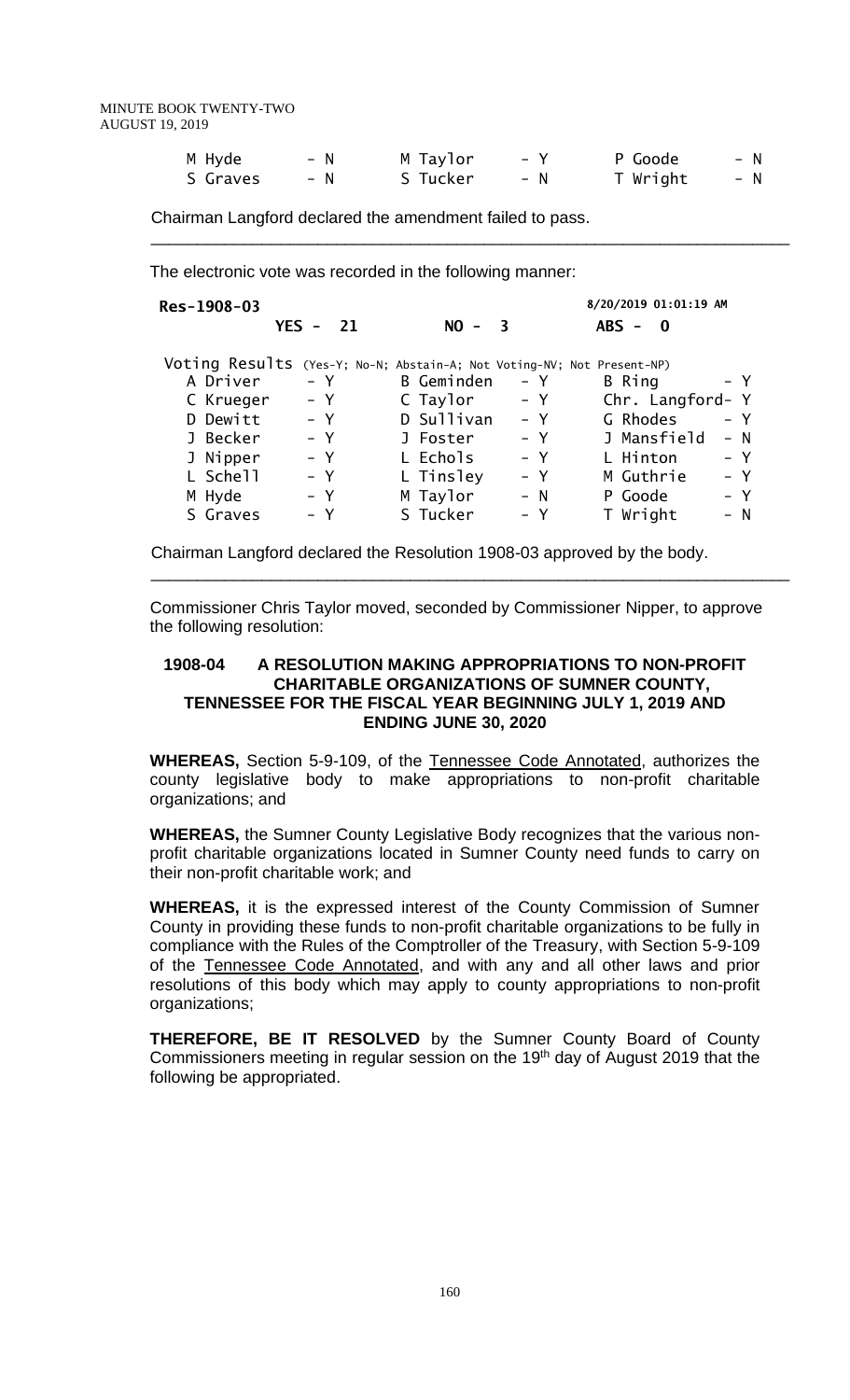| M Hyde   | – N | M Taylor | $- V$ | P Goode  | – N   |
|----------|-----|----------|-------|----------|-------|
| S Graves | – N | S Tucker | – N   | T Wright | $- N$ |

 $\frac{1}{2}$  ,  $\frac{1}{2}$  ,  $\frac{1}{2}$  ,  $\frac{1}{2}$  ,  $\frac{1}{2}$  ,  $\frac{1}{2}$  ,  $\frac{1}{2}$  ,  $\frac{1}{2}$  ,  $\frac{1}{2}$  ,  $\frac{1}{2}$  ,  $\frac{1}{2}$  ,  $\frac{1}{2}$  ,  $\frac{1}{2}$  ,  $\frac{1}{2}$  ,  $\frac{1}{2}$  ,  $\frac{1}{2}$  ,  $\frac{1}{2}$  ,  $\frac{1}{2}$  ,  $\frac{1$ 

Chairman Langford declared the amendment failed to pass.

The electronic vote was recorded in the following manner:

| Res-1908-03                                                            |               |                   |                         | 8/20/2019 01:01:19 AM   |       |
|------------------------------------------------------------------------|---------------|-------------------|-------------------------|-------------------------|-------|
|                                                                        | $YES -$<br>21 | $NO -$            | $\overline{\mathbf{3}}$ | $ABS -$<br>$\mathbf{0}$ |       |
| Voting Results (Yes-Y; No-N; Abstain-A; Not Voting-NV; Not Present-NP) |               |                   |                         |                         |       |
| A Driver                                                               | - Y           | <b>B</b> Geminden | - Y                     | B Ring                  | – Y   |
| C Krueger                                                              | $- Y$         | C Taylor          | $- Y$                   | Chr. Langford- Y        |       |
| D Dewitt                                                               | $- Y$         | D Sullivan        | $- Y$                   | G Rhodes                | $- Y$ |
| J Becker                                                               | $- Y$         | J Foster          | – Y                     | J Mansfield             | $- N$ |
| J Nipper                                                               | $- Y$         | L Echols          | - Y                     | L Hinton                | $- Y$ |
| L Schell                                                               | $- Y$         | L Tinsley         | - Y                     | M Guthrie               | – Y   |
| M Hyde                                                                 | – Y           | M Taylor          | $- N$                   | P Goode                 | – Y   |
| S Graves                                                               | $- Y$         | S Tucker          | – Y                     | T Wright                | $- N$ |

Chairman Langford declared the Resolution 1908-03 approved by the body.

\_\_\_\_\_\_\_\_\_\_\_\_\_\_\_\_\_\_\_\_\_\_\_\_\_\_\_\_\_\_\_\_\_\_\_\_\_\_\_\_\_\_\_\_\_\_\_\_\_\_\_\_\_\_\_\_\_\_\_\_\_\_\_\_\_\_\_\_\_

 Commissioner Chris Taylor moved, seconded by Commissioner Nipper, to approve the following resolution:

#### **1908-04 A RESOLUTION MAKING APPROPRIATIONS TO NON-PROFIT CHARITABLE ORGANIZATIONS OF SUMNER COUNTY, TENNESSEE FOR THE FISCAL YEAR BEGINNING JULY 1, 2019 AND ENDING JUNE 30, 2020**

**WHEREAS,** Section 5-9-109, of the Tennessee Code Annotated, authorizes the county legislative body to make appropriations to non-profit charitable organizations; and

**WHEREAS,** the Sumner County Legislative Body recognizes that the various nonprofit charitable organizations located in Sumner County need funds to carry on their non-profit charitable work; and

**WHEREAS,** it is the expressed interest of the County Commission of Sumner County in providing these funds to non-profit charitable organizations to be fully in compliance with the Rules of the Comptroller of the Treasury, with Section 5-9-109 of the Tennessee Code Annotated, and with any and all other laws and prior resolutions of this body which may apply to county appropriations to non-profit organizations;

**THEREFORE, BE IT RESOLVED** by the Sumner County Board of County Commissioners meeting in regular session on the 19<sup>th</sup> day of August 2019 that the following be appropriated.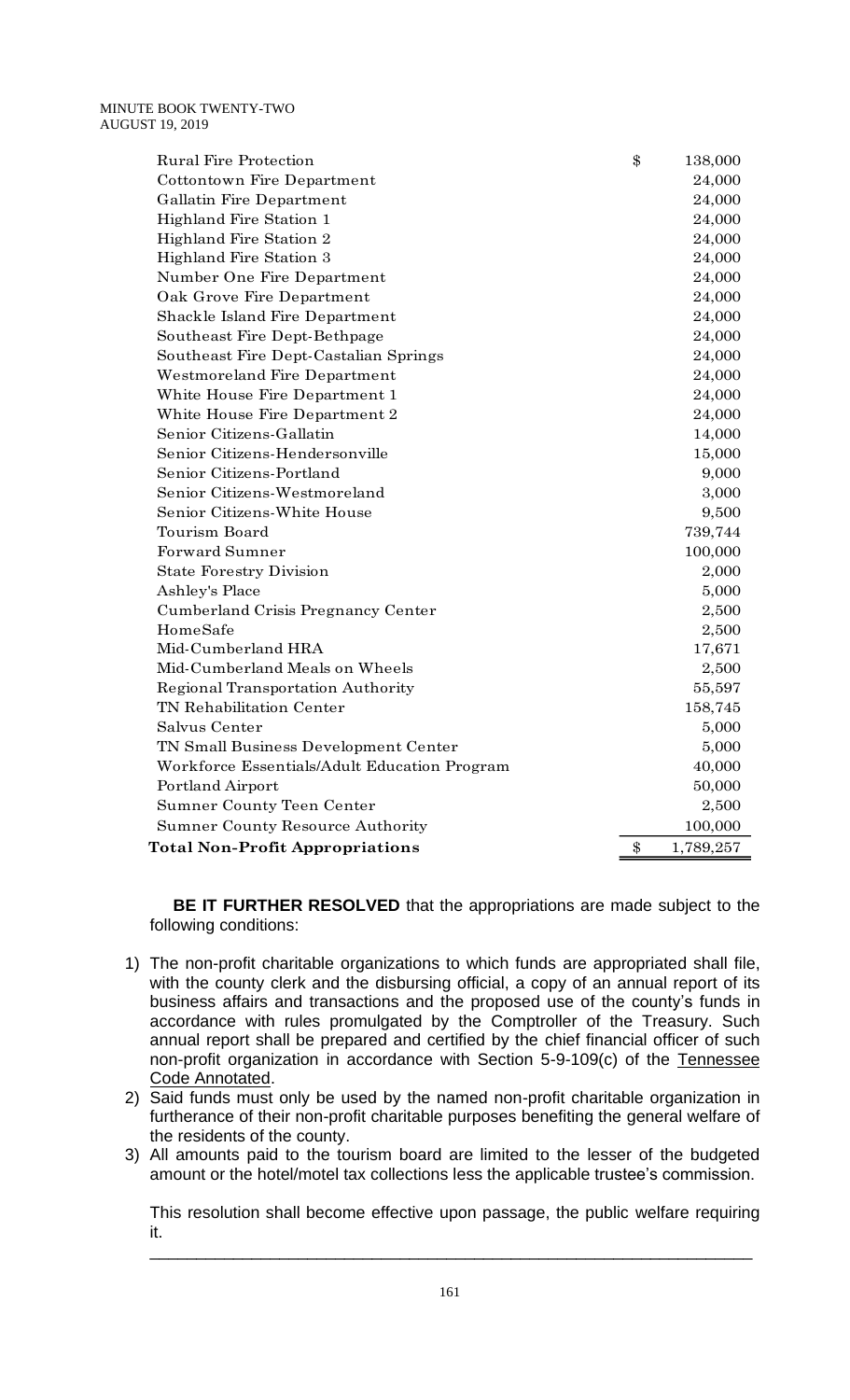| T 19, 2019                                   |                 |
|----------------------------------------------|-----------------|
| <b>Rural Fire Protection</b>                 | \$<br>138,000   |
| Cottontown Fire Department                   | 24,000          |
| Gallatin Fire Department                     | 24,000          |
| Highland Fire Station 1                      | 24,000          |
| Highland Fire Station 2                      | 24,000          |
| Highland Fire Station 3                      | 24,000          |
| Number One Fire Department                   | 24,000          |
| Oak Grove Fire Department                    | 24,000          |
| Shackle Island Fire Department               | 24,000          |
| Southeast Fire Dept-Bethpage                 | 24,000          |
| Southeast Fire Dept-Castalian Springs        | 24,000          |
| Westmoreland Fire Department                 | 24,000          |
| White House Fire Department 1                | 24,000          |
| White House Fire Department 2                | 24,000          |
| Senior Citizens-Gallatin                     | 14,000          |
| Senior Citizens-Hendersonville               | 15,000          |
| Senior Citizens-Portland                     | 9,000           |
| Senior Citizens-Westmoreland                 | 3,000           |
| Senior Citizens-White House                  | 9,500           |
| Tourism Board                                | 739,744         |
| <b>Forward Sumner</b>                        | 100,000         |
| <b>State Forestry Division</b>               | 2,000           |
| Ashley's Place                               | 5,000           |
| Cumberland Crisis Pregnancy Center           | 2,500           |
| HomeSafe                                     | 2,500           |
| Mid-Cumberland HRA                           | 17,671          |
| Mid-Cumberland Meals on Wheels               | 2,500           |
| Regional Transportation Authority            | 55,597          |
| TN Rehabilitation Center                     | 158,745         |
| Salvus Center                                | 5,000           |
| TN Small Business Development Center         | 5,000           |
| Workforce Essentials/Adult Education Program | 40,000          |
| Portland Airport                             | 50,000          |
| Sumner County Teen Center                    | 2,500           |
| <b>Sumner County Resource Authority</b>      | 100,000         |
| <b>Total Non-Profit Appropriations</b>       | \$<br>1,789,257 |

 **BE IT FURTHER RESOLVED** that the appropriations are made subject to the following conditions:

- 1) The non-profit charitable organizations to which funds are appropriated shall file, with the county clerk and the disbursing official, a copy of an annual report of its business affairs and transactions and the proposed use of the county's funds in accordance with rules promulgated by the Comptroller of the Treasury. Such annual report shall be prepared and certified by the chief financial officer of such non-profit organization in accordance with Section 5-9-109(c) of the Tennessee Code Annotated.
- 2) Said funds must only be used by the named non-profit charitable organization in furtherance of their non-profit charitable purposes benefiting the general welfare of the residents of the county.
- 3) All amounts paid to the tourism board are limited to the lesser of the budgeted amount or the hotel/motel tax collections less the applicable trustee's commission.

This resolution shall become effective upon passage, the public welfare requiring it. \_\_\_\_\_\_\_\_\_\_\_\_\_\_\_\_\_\_\_\_\_\_\_\_\_\_\_\_\_\_\_\_\_\_\_\_\_\_\_\_\_\_\_\_\_\_\_\_\_\_\_\_\_\_\_\_\_\_\_\_\_\_\_\_\_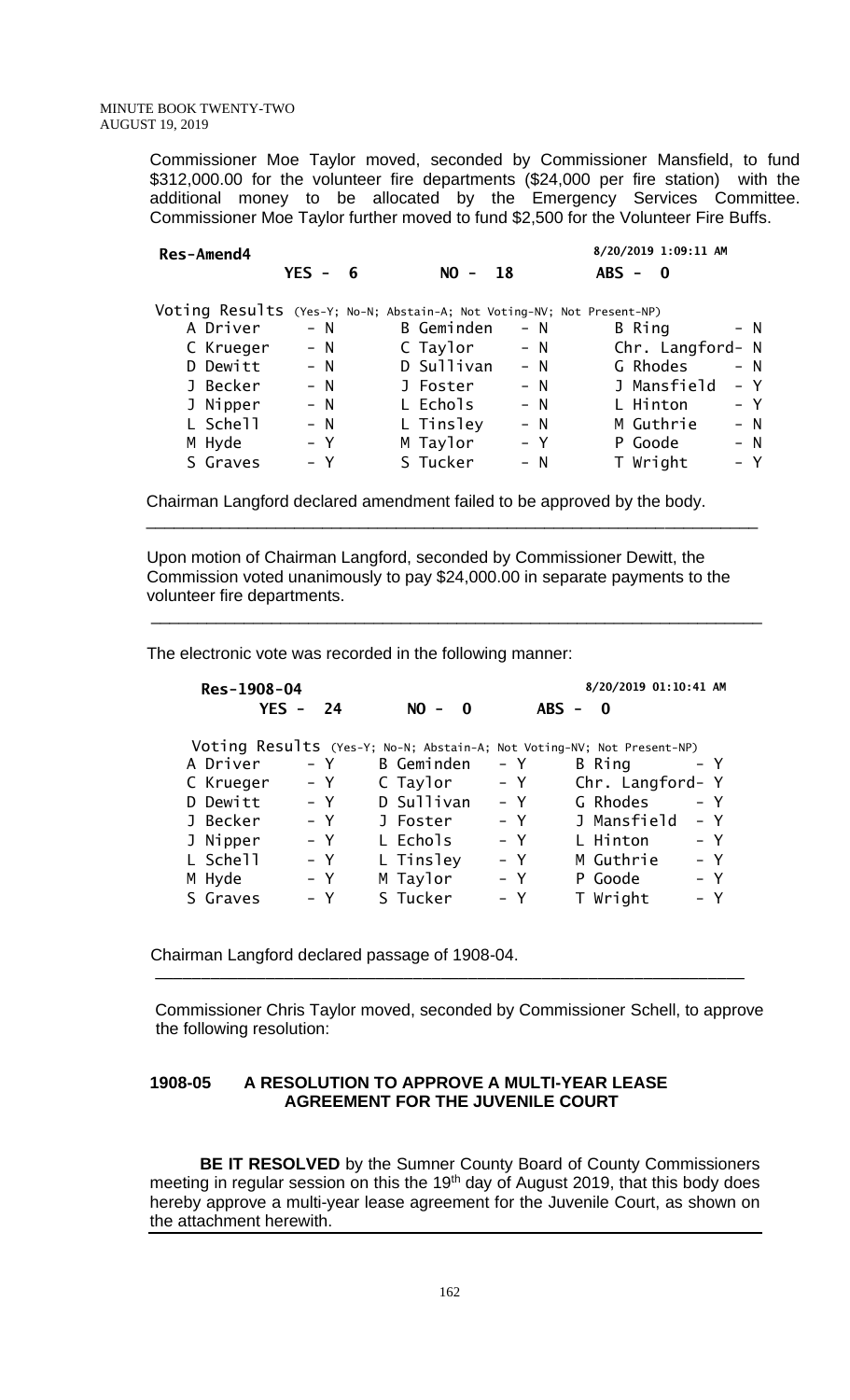> Commissioner Moe Taylor moved, seconded by Commissioner Mansfield, to fund \$312,000.00 for the volunteer fire departments (\$24,000 per fire station) with the additional money to be allocated by the Emergency Services Committee. Commissioner Moe Taylor further moved to fund \$2,500 for the Volunteer Fire Buffs.

| <b>Res-Amend4</b> |                                                                        |                                               |            |       | 8/20/2019 1:09:11 AM    |       |
|-------------------|------------------------------------------------------------------------|-----------------------------------------------|------------|-------|-------------------------|-------|
|                   |                                                                        | <b>YES</b><br>- 6<br>$\overline{\phantom{a}}$ | $NO -$     | - 18  | $ABS -$<br>$\mathbf{0}$ |       |
|                   | Voting Results (Yes-Y; No-N; Abstain-A; Not Voting-NV; Not Present-NP) |                                               |            |       |                         |       |
|                   | A Driver                                                               | $- N$                                         | B Geminden | $- N$ | B Ring                  | - N   |
|                   | C Krueger                                                              | $- N$                                         | C Taylor   | $- N$ | Chr. Langford- N        |       |
|                   | D Dewitt                                                               | $- N$                                         | D Sullivan | $- N$ | G Rhodes                | $- N$ |
|                   | J Becker                                                               | $- N$                                         | J Foster   | $- N$ | J Mansfield             | - Y   |
|                   | J Nipper                                                               | $- N$                                         | L Echols   | $- N$ | L Hinton                | $- Y$ |
|                   | L Schell                                                               | $- N$                                         | L Tinsley  | $- N$ | M Guthrie               | $- N$ |
|                   | M Hyde                                                                 | – Y                                           | M Taylor   | $- Y$ | P Goode                 | - N   |
|                   | S Graves                                                               | – Y                                           | S Tucker   | – N   | T Wright                | – Y   |
|                   |                                                                        |                                               |            |       |                         |       |

 Chairman Langford declared amendment failed to be approved by the body.  $\overline{\phantom{a}}$  , and the contribution of the contribution of the contribution of the contribution of the contribution of the contribution of the contribution of the contribution of the contribution of the contribution of the

 Upon motion of Chairman Langford, seconded by Commissioner Dewitt, the Commission voted unanimously to pay \$24,000.00 in separate payments to the volunteer fire departments.

 $\overline{\phantom{a}}$  , and the contribution of the contribution of the contribution of the contribution of the contribution of the contribution of the contribution of the contribution of the contribution of the contribution of the

The electronic vote was recorded in the following manner:

| Res-1908-04 |               |                                                                        |       | 8/20/2019 01:10:41 AM   |       |
|-------------|---------------|------------------------------------------------------------------------|-------|-------------------------|-------|
|             | $YES -$<br>24 | $NO -$<br>$\mathbf{0}$                                                 |       | $ABS -$<br>$\mathbf{0}$ |       |
|             |               | Voting Results (Yes-Y; No-N; Abstain-A; Not Voting-NV; Not Present-NP) |       |                         |       |
| A Driver    | – Y           | <b>B</b> Geminden                                                      | – Y   | B Ring                  | – Y   |
| C Krueger   | $- Y$         | C Taylor                                                               | – Y   | Chr. Langford- Y        |       |
| D Dewitt    | $- Y$         | D Sullivan                                                             | $- Y$ | G Rhodes                | $- Y$ |
| J Becker    | $- Y$         | J Foster                                                               | – Y   | J Mansfield             | – Y   |
| J Nipper    | $- Y$         | L Echols                                                               | – Y   | L Hinton                | – Y   |
| L Schell    | $- Y$         | L Tinsley                                                              | $- Y$ | M Guthrie               | – Y   |
| M Hyde      | – Y           | M Taylor                                                               | – Y   | P Goode                 | $- Y$ |
| S Graves    | $- Y$         | S Tucker                                                               | $- Y$ | T Wright                | – Y   |

Chairman Langford declared passage of 1908-04.

 Commissioner Chris Taylor moved, seconded by Commissioner Schell, to approve the following resolution:

#### **1908-05 A RESOLUTION TO APPROVE A MULTI-YEAR LEASE AGREEMENT FOR THE JUVENILE COURT**

\_\_\_\_\_\_\_\_\_\_\_\_\_\_\_\_\_\_\_\_\_\_\_\_\_\_\_\_\_\_\_\_\_\_\_\_\_\_\_\_\_\_\_\_\_\_\_\_\_\_\_\_\_\_\_\_\_\_\_\_\_\_\_\_

**BE IT RESOLVED** by the Sumner County Board of County Commissioners meeting in regular session on this the 19<sup>th</sup> day of August 2019, that this body does hereby approve a multi-year lease agreement for the Juvenile Court, as shown on the attachment herewith.